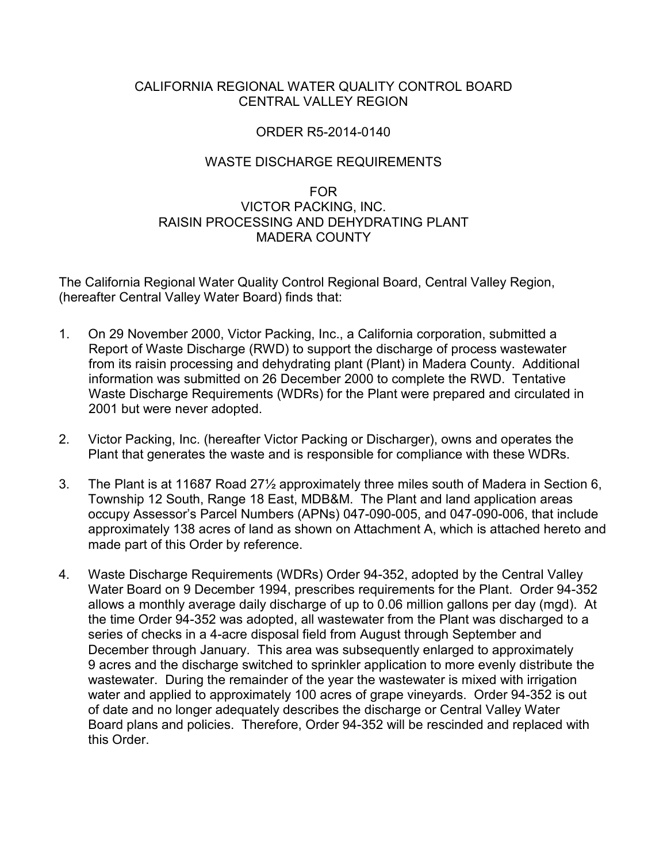## CALIFORNIA REGIONAL WATER QUALITY CONTROL BOARD CENTRAL VALLEY REGION

## ORDER R5-2014-0140

## WASTE DISCHARGE REQUIREMENTS

## FOR VICTOR PACKING, INC. RAISIN PROCESSING AND DEHYDRATING PLANT MADERA COUNTY

The California Regional Water Quality Control Regional Board, Central Valley Region, (hereafter Central Valley Water Board) finds that:

- 1. On 29 November 2000, Victor Packing, Inc., a California corporation, submitted a Report of Waste Discharge (RWD) to support the discharge of process wastewater from its raisin processing and dehydrating plant (Plant) in Madera County. Additional information was submitted on 26 December 2000 to complete the RWD. Tentative Waste Discharge Requirements (WDRs) for the Plant were prepared and circulated in 2001 but were never adopted.
- 2. Victor Packing, Inc. (hereafter Victor Packing or Discharger), owns and operates the Plant that generates the waste and is responsible for compliance with these WDRs.
- 3. The Plant is at 11687 Road 27½ approximately three miles south of Madera in Section 6, Township 12 South, Range 18 East, MDB&M. The Plant and land application areas occupy Assessor's Parcel Numbers (APNs) 047-090-005, and 047-090-006, that include approximately 138 acres of land as shown on Attachment A, which is attached hereto and made part of this Order by reference.
- 4. Waste Discharge Requirements (WDRs) Order 94-352, adopted by the Central Valley Water Board on 9 December 1994, prescribes requirements for the Plant. Order 94-352 allows a monthly average daily discharge of up to 0.06 million gallons per day (mgd). At the time Order 94-352 was adopted, all wastewater from the Plant was discharged to a series of checks in a 4-acre disposal field from August through September and December through January. This area was subsequently enlarged to approximately 9 acres and the discharge switched to sprinkler application to more evenly distribute the wastewater. During the remainder of the year the wastewater is mixed with irrigation water and applied to approximately 100 acres of grape vineyards. Order 94-352 is out of date and no longer adequately describes the discharge or Central Valley Water Board plans and policies. Therefore, Order 94-352 will be rescinded and replaced with this Order.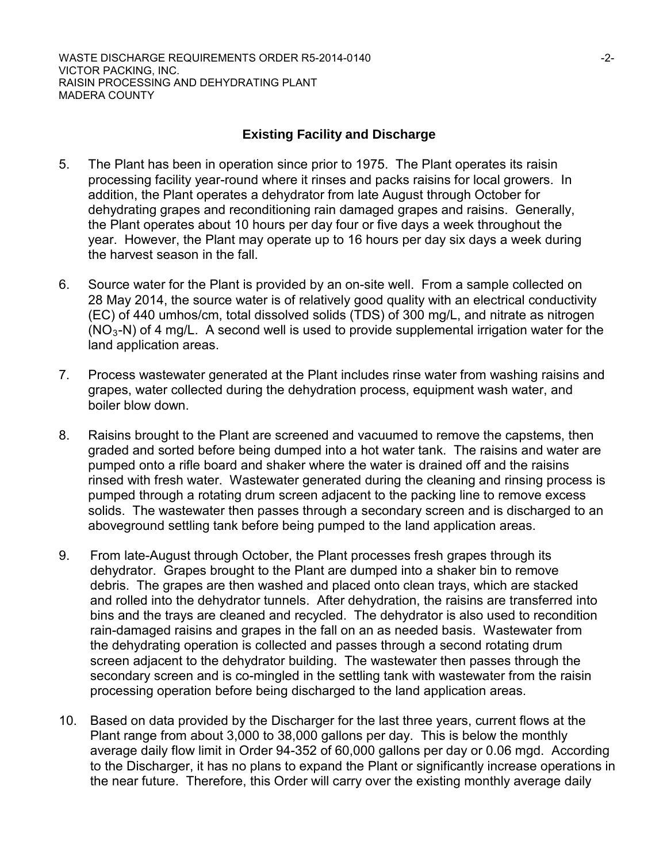## **Existing Facility and Discharge**

- 5. The Plant has been in operation since prior to 1975. The Plant operates its raisin processing facility year-round where it rinses and packs raisins for local growers. In addition, the Plant operates a dehydrator from late August through October for dehydrating grapes and reconditioning rain damaged grapes and raisins. Generally, the Plant operates about 10 hours per day four or five days a week throughout the year. However, the Plant may operate up to 16 hours per day six days a week during the harvest season in the fall.
- 6. Source water for the Plant is provided by an on-site well. From a sample collected on 28 May 2014, the source water is of relatively good quality with an electrical conductivity (EC) of 440 umhos/cm, total dissolved solids (TDS) of 300 mg/L, and nitrate as nitrogen  $(NO<sub>3</sub>-N)$  of 4 mg/L. A second well is used to provide supplemental irrigation water for the land application areas.
- 7. Process wastewater generated at the Plant includes rinse water from washing raisins and grapes, water collected during the dehydration process, equipment wash water, and boiler blow down.
- 8. Raisins brought to the Plant are screened and vacuumed to remove the capstems, then graded and sorted before being dumped into a hot water tank. The raisins and water are pumped onto a rifle board and shaker where the water is drained off and the raisins rinsed with fresh water. Wastewater generated during the cleaning and rinsing process is pumped through a rotating drum screen adjacent to the packing line to remove excess solids. The wastewater then passes through a secondary screen and is discharged to an aboveground settling tank before being pumped to the land application areas.
- 9. From late-August through October, the Plant processes fresh grapes through its dehydrator. Grapes brought to the Plant are dumped into a shaker bin to remove debris. The grapes are then washed and placed onto clean trays, which are stacked and rolled into the dehydrator tunnels. After dehydration, the raisins are transferred into bins and the trays are cleaned and recycled. The dehydrator is also used to recondition rain-damaged raisins and grapes in the fall on an as needed basis. Wastewater from the dehydrating operation is collected and passes through a second rotating drum screen adjacent to the dehydrator building. The wastewater then passes through the secondary screen and is co-mingled in the settling tank with wastewater from the raisin processing operation before being discharged to the land application areas.
- 10. Based on data provided by the Discharger for the last three years, current flows at the Plant range from about 3,000 to 38,000 gallons per day. This is below the monthly average daily flow limit in Order 94-352 of 60,000 gallons per day or 0.06 mgd. According to the Discharger, it has no plans to expand the Plant or significantly increase operations in the near future. Therefore, this Order will carry over the existing monthly average daily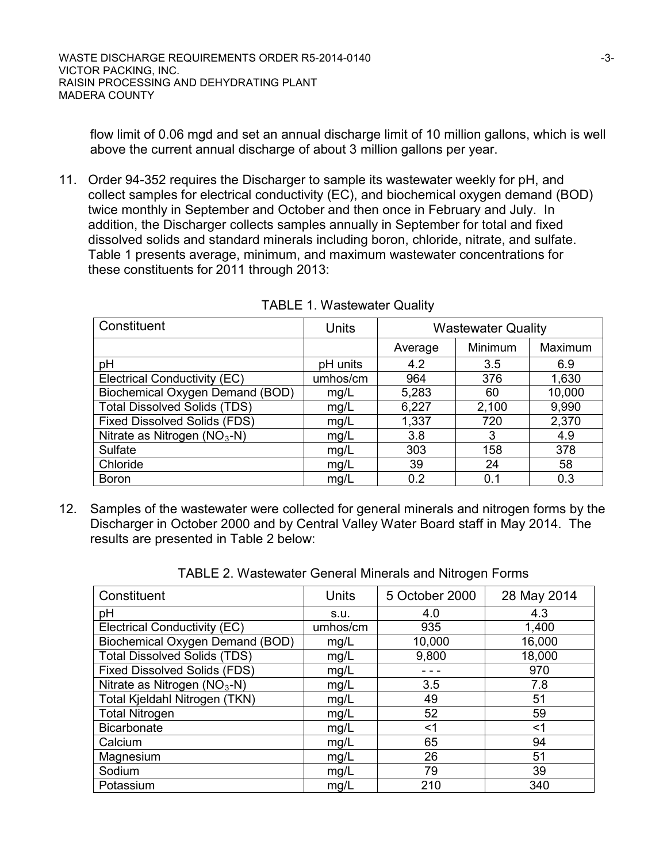flow limit of 0.06 mgd and set an annual discharge limit of 10 million gallons, which is well above the current annual discharge of about 3 million gallons per year.

11. Order 94-352 requires the Discharger to sample its wastewater weekly for pH, and collect samples for electrical conductivity (EC), and biochemical oxygen demand (BOD) twice monthly in September and October and then once in February and July. In addition, the Discharger collects samples annually in September for total and fixed dissolved solids and standard minerals including boron, chloride, nitrate, and sulfate. Table 1 presents average, minimum, and maximum wastewater concentrations for these constituents for 2011 through 2013:

| Constituent                         | Units    | <b>Wastewater Quality</b> |         |         |
|-------------------------------------|----------|---------------------------|---------|---------|
|                                     |          | Average                   | Minimum | Maximum |
| pH                                  | pH units | 4.2                       | 3.5     | 6.9     |
| Electrical Conductivity (EC)        | umhos/cm | 964                       | 376     | 1,630   |
| Biochemical Oxygen Demand (BOD)     | mg/L     | 5,283                     | 60      | 10,000  |
| <b>Total Dissolved Solids (TDS)</b> | mg/L     | 6,227                     | 2,100   | 9,990   |
| <b>Fixed Dissolved Solids (FDS)</b> | mg/L     | 1,337                     | 720     | 2,370   |
| Nitrate as Nitrogen $(NO3-N)$       | mg/L     | 3.8                       | 3       | 4.9     |
| Sulfate                             | mg/L     | 303                       | 158     | 378     |
| Chloride                            | mg/L     | 39                        | 24      | 58      |
| <b>Boron</b>                        | mg/L     | 0.2                       | 0.1     | 0.3     |

TABLE 1. Wastewater Quality

12. Samples of the wastewater were collected for general minerals and nitrogen forms by the Discharger in October 2000 and by Central Valley Water Board staff in May 2014. The results are presented in Table 2 below:

| Constituent                         | <b>Units</b> | 5 October 2000 | 28 May 2014 |
|-------------------------------------|--------------|----------------|-------------|
| pH                                  | S.U.         | 4.0            | 4.3         |
| Electrical Conductivity (EC)        | umhos/cm     | 935            | 1,400       |
| Biochemical Oxygen Demand (BOD)     | mg/L         | 10,000         | 16,000      |
| <b>Total Dissolved Solids (TDS)</b> | mg/L         | 9,800          | 18,000      |
| <b>Fixed Dissolved Solids (FDS)</b> | mg/L         |                | 970         |
| Nitrate as Nitrogen $(NO3-N)$       | mg/L         | 3.5            | 7.8         |
| Total Kjeldahl Nitrogen (TKN)       | mg/L         | 49             | 51          |
| <b>Total Nitrogen</b>               | mg/L         | 52             | 59          |
| <b>Bicarbonate</b>                  | mg/L         | <1             | <1          |
| Calcium                             | mg/L         | 65             | 94          |
| Magnesium                           | mg/L         | 26             | 51          |
| Sodium                              | mg/L         | 79             | 39          |
| Potassium                           | mg/L         | 210            | 340         |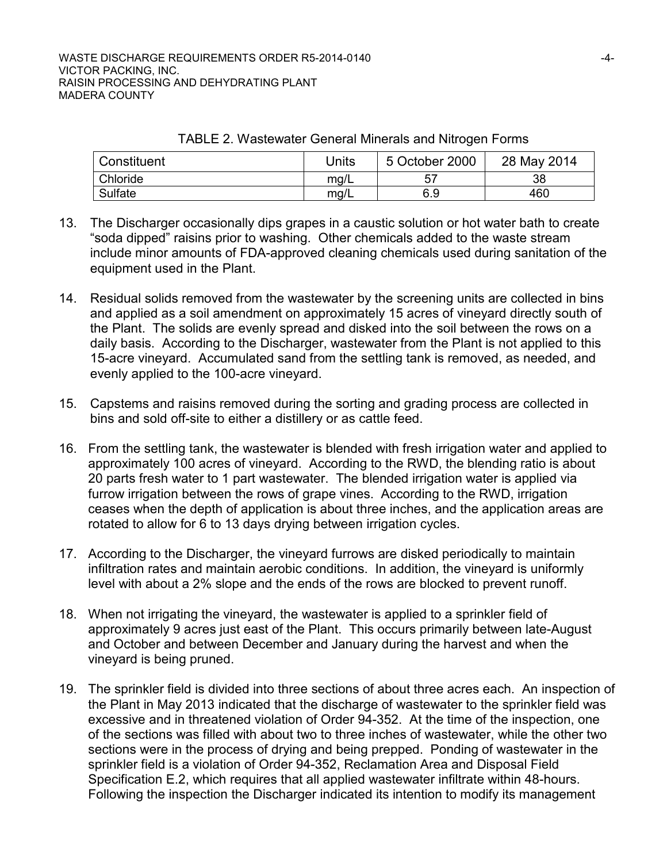| Constituent | Jnits | 5 October 2000 | 28 May 2014 |
|-------------|-------|----------------|-------------|
| Chloride    | mq/L  | 57             | 38          |
| Sulfate     | mg/L  | 6.9            | 460         |

TABLE 2. Wastewater General Minerals and Nitrogen Forms

- 13. The Discharger occasionally dips grapes in a caustic solution or hot water bath to create "soda dipped" raisins prior to washing. Other chemicals added to the waste stream include minor amounts of FDA-approved cleaning chemicals used during sanitation of the equipment used in the Plant.
- 14. Residual solids removed from the wastewater by the screening units are collected in bins and applied as a soil amendment on approximately 15 acres of vineyard directly south of the Plant. The solids are evenly spread and disked into the soil between the rows on a daily basis. According to the Discharger, wastewater from the Plant is not applied to this 15-acre vineyard. Accumulated sand from the settling tank is removed, as needed, and evenly applied to the 100-acre vineyard.
- 15. Capstems and raisins removed during the sorting and grading process are collected in bins and sold off-site to either a distillery or as cattle feed.
- 16. From the settling tank, the wastewater is blended with fresh irrigation water and applied to approximately 100 acres of vineyard. According to the RWD, the blending ratio is about 20 parts fresh water to 1 part wastewater. The blended irrigation water is applied via furrow irrigation between the rows of grape vines. According to the RWD, irrigation ceases when the depth of application is about three inches, and the application areas are rotated to allow for 6 to 13 days drying between irrigation cycles.
- 17. According to the Discharger, the vineyard furrows are disked periodically to maintain infiltration rates and maintain aerobic conditions. In addition, the vineyard is uniformly level with about a 2% slope and the ends of the rows are blocked to prevent runoff.
- 18. When not irrigating the vineyard, the wastewater is applied to a sprinkler field of approximately 9 acres just east of the Plant. This occurs primarily between late-August and October and between December and January during the harvest and when the vineyard is being pruned.
- 19. The sprinkler field is divided into three sections of about three acres each. An inspection of the Plant in May 2013 indicated that the discharge of wastewater to the sprinkler field was excessive and in threatened violation of Order 94-352. At the time of the inspection, one of the sections was filled with about two to three inches of wastewater, while the other two sections were in the process of drying and being prepped. Ponding of wastewater in the sprinkler field is a violation of Order 94-352, Reclamation Area and Disposal Field Specification E.2, which requires that all applied wastewater infiltrate within 48-hours. Following the inspection the Discharger indicated its intention to modify its management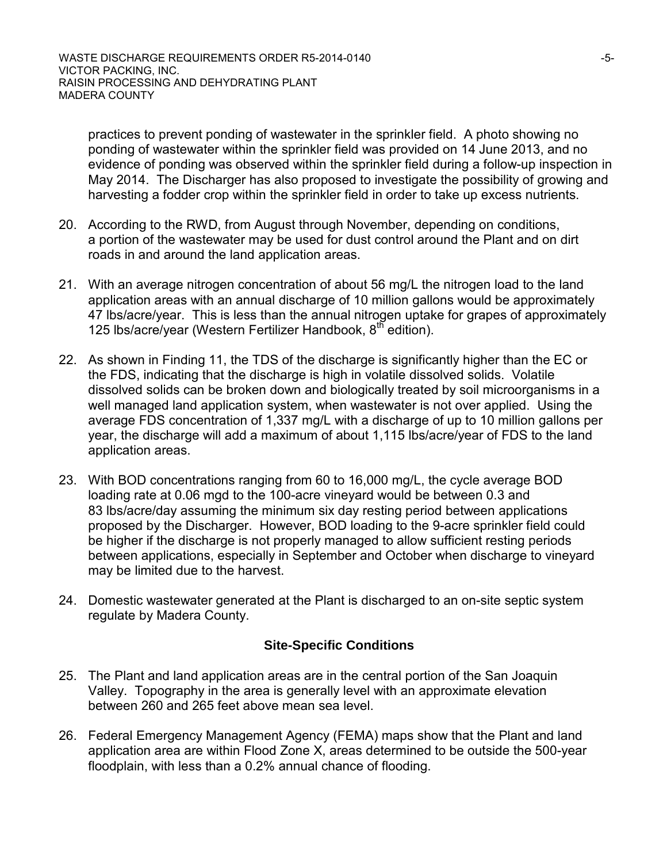practices to prevent ponding of wastewater in the sprinkler field. A photo showing no ponding of wastewater within the sprinkler field was provided on 14 June 2013, and no evidence of ponding was observed within the sprinkler field during a follow-up inspection in May 2014. The Discharger has also proposed to investigate the possibility of growing and harvesting a fodder crop within the sprinkler field in order to take up excess nutrients.

- 20. According to the RWD, from August through November, depending on conditions, a portion of the wastewater may be used for dust control around the Plant and on dirt roads in and around the land application areas.
- 21. With an average nitrogen concentration of about 56 mg/L the nitrogen load to the land application areas with an annual discharge of 10 million gallons would be approximately 47 lbs/acre/year. This is less than the annual nitrogen uptake for grapes of approximately 125 lbs/acre/year (Western Fertilizer Handbook,  $8<sup>th</sup>$  edition).
- 22. As shown in Finding 11, the TDS of the discharge is significantly higher than the EC or the FDS, indicating that the discharge is high in volatile dissolved solids. Volatile dissolved solids can be broken down and biologically treated by soil microorganisms in a well managed land application system, when wastewater is not over applied. Using the average FDS concentration of 1,337 mg/L with a discharge of up to 10 million gallons per year, the discharge will add a maximum of about 1,115 lbs/acre/year of FDS to the land application areas.
- 23. With BOD concentrations ranging from 60 to 16,000 mg/L, the cycle average BOD loading rate at 0.06 mgd to the 100-acre vineyard would be between 0.3 and 83 lbs/acre/day assuming the minimum six day resting period between applications proposed by the Discharger. However, BOD loading to the 9-acre sprinkler field could be higher if the discharge is not properly managed to allow sufficient resting periods between applications, especially in September and October when discharge to vineyard may be limited due to the harvest.
- 24. Domestic wastewater generated at the Plant is discharged to an on-site septic system regulate by Madera County.

## **Site-Specific Conditions**

- 25. The Plant and land application areas are in the central portion of the San Joaquin Valley. Topography in the area is generally level with an approximate elevation between 260 and 265 feet above mean sea level.
- 26. Federal Emergency Management Agency (FEMA) maps show that the Plant and land application area are within Flood Zone X, areas determined to be outside the 500-year floodplain, with less than a 0.2% annual chance of flooding.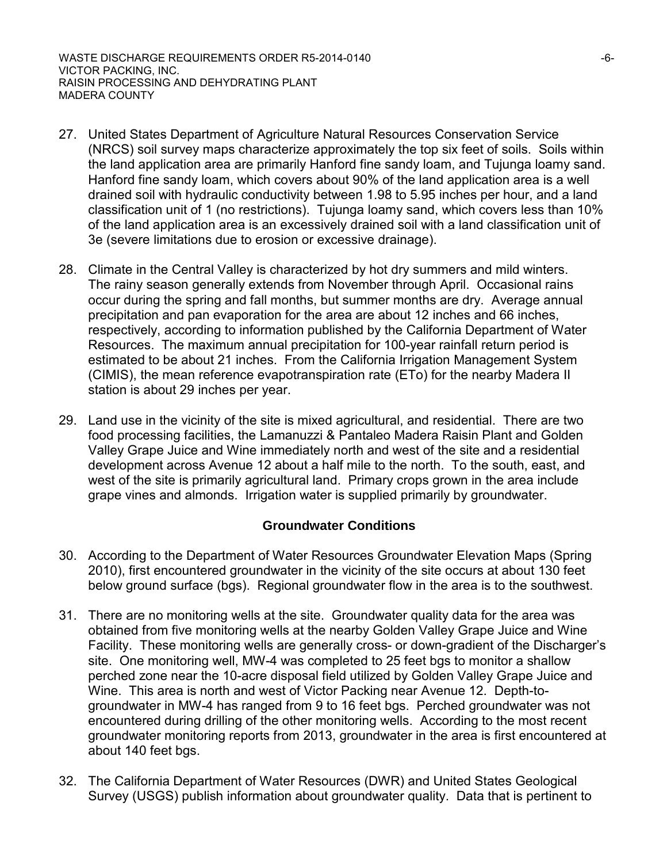- 27. United States Department of Agriculture Natural Resources Conservation Service (NRCS) soil survey maps characterize approximately the top six feet of soils. Soils within the land application area are primarily Hanford fine sandy loam, and Tujunga loamy sand. Hanford fine sandy loam, which covers about 90% of the land application area is a well drained soil with hydraulic conductivity between 1.98 to 5.95 inches per hour, and a land classification unit of 1 (no restrictions). Tujunga loamy sand, which covers less than 10% of the land application area is an excessively drained soil with a land classification unit of 3e (severe limitations due to erosion or excessive drainage).
- 28. Climate in the Central Valley is characterized by hot dry summers and mild winters. The rainy season generally extends from November through April. Occasional rains occur during the spring and fall months, but summer months are dry. Average annual precipitation and pan evaporation for the area are about 12 inches and 66 inches, respectively, according to information published by the California Department of Water Resources. The maximum annual precipitation for 100-year rainfall return period is estimated to be about 21 inches. From the California Irrigation Management System (CIMIS), the mean reference evapotranspiration rate (ETo) for the nearby Madera II station is about 29 inches per year.
- 29. Land use in the vicinity of the site is mixed agricultural, and residential. There are two food processing facilities, the Lamanuzzi & Pantaleo Madera Raisin Plant and Golden Valley Grape Juice and Wine immediately north and west of the site and a residential development across Avenue 12 about a half mile to the north. To the south, east, and west of the site is primarily agricultural land. Primary crops grown in the area include grape vines and almonds. Irrigation water is supplied primarily by groundwater.

## **Groundwater Conditions**

- 30. According to the Department of Water Resources Groundwater Elevation Maps (Spring 2010), first encountered groundwater in the vicinity of the site occurs at about 130 feet below ground surface (bgs). Regional groundwater flow in the area is to the southwest.
- 31. There are no monitoring wells at the site. Groundwater quality data for the area was obtained from five monitoring wells at the nearby Golden Valley Grape Juice and Wine Facility. These monitoring wells are generally cross- or down-gradient of the Discharger's site. One monitoring well, MW-4 was completed to 25 feet bgs to monitor a shallow perched zone near the 10-acre disposal field utilized by Golden Valley Grape Juice and Wine. This area is north and west of Victor Packing near Avenue 12. Depth-togroundwater in MW-4 has ranged from 9 to 16 feet bgs. Perched groundwater was not encountered during drilling of the other monitoring wells. According to the most recent groundwater monitoring reports from 2013, groundwater in the area is first encountered at about 140 feet bgs.
- 32. The California Department of Water Resources (DWR) and United States Geological Survey (USGS) publish information about groundwater quality. Data that is pertinent to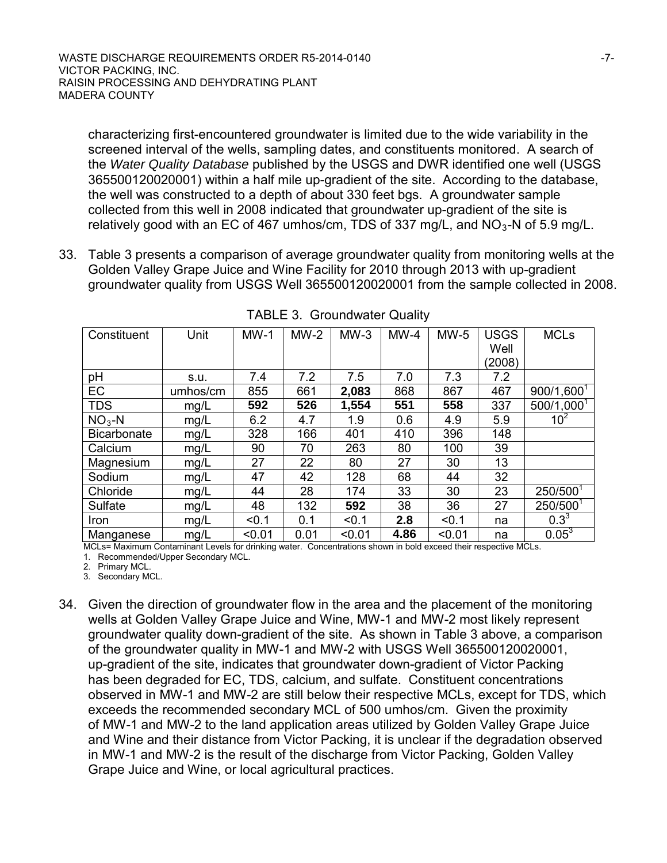characterizing first-encountered groundwater is limited due to the wide variability in the screened interval of the wells, sampling dates, and constituents monitored. A search of the *Water Quality Database* published by the USGS and DWR identified one well (USGS 365500120020001) within a half mile up-gradient of the site. According to the database, the well was constructed to a depth of about 330 feet bgs. A groundwater sample collected from this well in 2008 indicated that groundwater up-gradient of the site is relatively good with an EC of 467 umhos/cm, TDS of 337 mg/L, and  $NO<sub>3</sub>$ -N of 5.9 mg/L.

33. Table 3 presents a comparison of average groundwater quality from monitoring wells at the Golden Valley Grape Juice and Wine Facility for 2010 through 2013 with up-gradient groundwater quality from USGS Well 365500120020001 from the sample collected in 2008.

| Constituent        | Unit     | $MW-1$ | $MW-2$ | $MW-3$ | $MW-4$ | $MW-5$ | <b>USGS</b> | <b>MCLs</b>            |
|--------------------|----------|--------|--------|--------|--------|--------|-------------|------------------------|
|                    |          |        |        |        |        |        | Well        |                        |
|                    |          |        |        |        |        |        | (2008)      |                        |
| pH                 | S.U.     | 7.4    | 7.2    | 7.5    | 7.0    | 7.3    | 7.2         |                        |
| EC                 | umhos/cm | 855    | 661    | 2,083  | 868    | 867    | 467         | $900/1,600^{T}$        |
| <b>TDS</b>         | mg/L     | 592    | 526    | 1,554  | 551    | 558    | 337         | 500/1,000 <sup>1</sup> |
| $NO3 - N$          | mg/L     | 6.2    | 4.7    | 1.9    | 0.6    | 4.9    | 5.9         | 10 <sup>2</sup>        |
| <b>Bicarbonate</b> | mg/L     | 328    | 166    | 401    | 410    | 396    | 148         |                        |
| Calcium            | mg/L     | 90     | 70     | 263    | 80     | 100    | 39          |                        |
| Magnesium          | mg/L     | 27     | 22     | 80     | 27     | 30     | 13          |                        |
| Sodium             | mg/L     | 47     | 42     | 128    | 68     | 44     | 32          |                        |
| Chloride           | mg/L     | 44     | 28     | 174    | 33     | 30     | 23          | 250/5001               |
| Sulfate            | mg/L     | 48     | 132    | 592    | 38     | 36     | 27          | 250/5001               |
| <b>Iron</b>        | mg/L     | < 0.1  | 0.1    | < 0.1  | 2.8    | < 0.1  | na          | $0.3^{3}$              |
| Manganese          | mg/L     | < 0.01 | 0.01   | < 0.01 | 4.86   | < 0.01 | na          | $0.05^3$               |

TABLE 3. Groundwater Quality

MCLs= Maximum Contaminant Levels for drinking water. Concentrations shown in bold exceed their respective MCLs. 1. Recommended/Upper Secondary MCL.

2. Primary MCL.

3. Secondary MCL.

34. Given the direction of groundwater flow in the area and the placement of the monitoring wells at Golden Valley Grape Juice and Wine, MW-1 and MW-2 most likely represent groundwater quality down-gradient of the site. As shown in Table 3 above, a comparison of the groundwater quality in MW-1 and MW-2 with USGS Well 365500120020001, up-gradient of the site, indicates that groundwater down-gradient of Victor Packing has been degraded for EC, TDS, calcium, and sulfate. Constituent concentrations observed in MW-1 and MW-2 are still below their respective MCLs, except for TDS, which exceeds the recommended secondary MCL of 500 umhos/cm. Given the proximity of MW-1 and MW-2 to the land application areas utilized by Golden Valley Grape Juice and Wine and their distance from Victor Packing, it is unclear if the degradation observed in MW-1 and MW-2 is the result of the discharge from Victor Packing, Golden Valley Grape Juice and Wine, or local agricultural practices.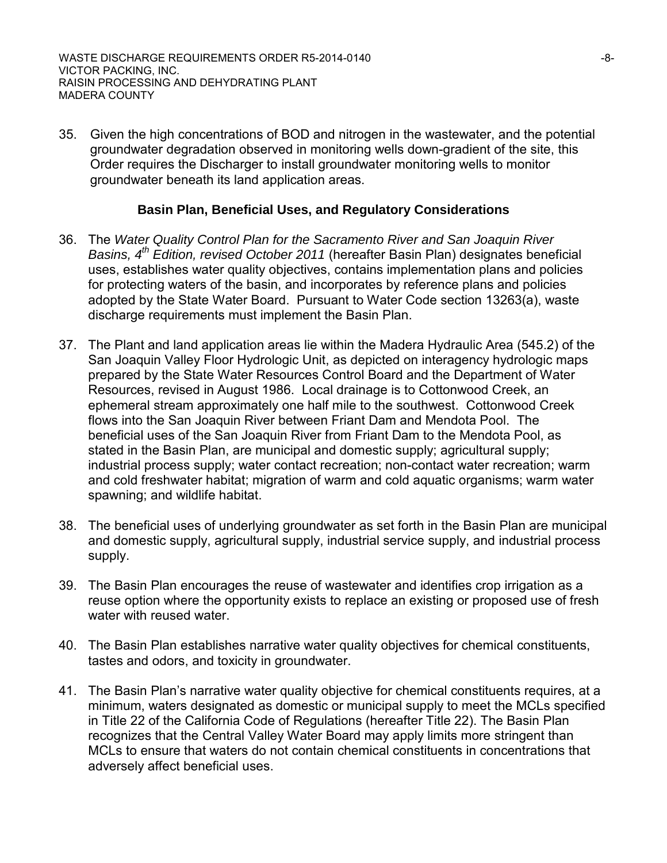35. Given the high concentrations of BOD and nitrogen in the wastewater, and the potential groundwater degradation observed in monitoring wells down-gradient of the site, this Order requires the Discharger to install groundwater monitoring wells to monitor groundwater beneath its land application areas.

## **Basin Plan, Beneficial Uses, and Regulatory Considerations**

- 36. The *Water Quality Control Plan for the Sacramento River and San Joaquin River Basins, 4th Edition, revised October 2011* (hereafter Basin Plan) designates beneficial uses, establishes water quality objectives, contains implementation plans and policies for protecting waters of the basin, and incorporates by reference plans and policies adopted by the State Water Board. Pursuant to Water Code section 13263(a), waste discharge requirements must implement the Basin Plan.
- 37. The Plant and land application areas lie within the Madera Hydraulic Area (545.2) of the San Joaquin Valley Floor Hydrologic Unit, as depicted on interagency hydrologic maps prepared by the State Water Resources Control Board and the Department of Water Resources, revised in August 1986. Local drainage is to Cottonwood Creek, an ephemeral stream approximately one half mile to the southwest. Cottonwood Creek flows into the San Joaquin River between Friant Dam and Mendota Pool. The beneficial uses of the San Joaquin River from Friant Dam to the Mendota Pool, as stated in the Basin Plan, are municipal and domestic supply; agricultural supply; industrial process supply; water contact recreation; non-contact water recreation; warm and cold freshwater habitat; migration of warm and cold aquatic organisms; warm water spawning; and wildlife habitat.
- 38. The beneficial uses of underlying groundwater as set forth in the Basin Plan are municipal and domestic supply, agricultural supply, industrial service supply, and industrial process supply.
- 39. The Basin Plan encourages the reuse of wastewater and identifies crop irrigation as a reuse option where the opportunity exists to replace an existing or proposed use of fresh water with reused water.
- 40. The Basin Plan establishes narrative water quality objectives for chemical constituents, tastes and odors, and toxicity in groundwater.
- 41. The Basin Plan's narrative water quality objective for chemical constituents requires, at a minimum, waters designated as domestic or municipal supply to meet the MCLs specified in Title 22 of the California Code of Regulations (hereafter Title 22). The Basin Plan recognizes that the Central Valley Water Board may apply limits more stringent than MCLs to ensure that waters do not contain chemical constituents in concentrations that adversely affect beneficial uses.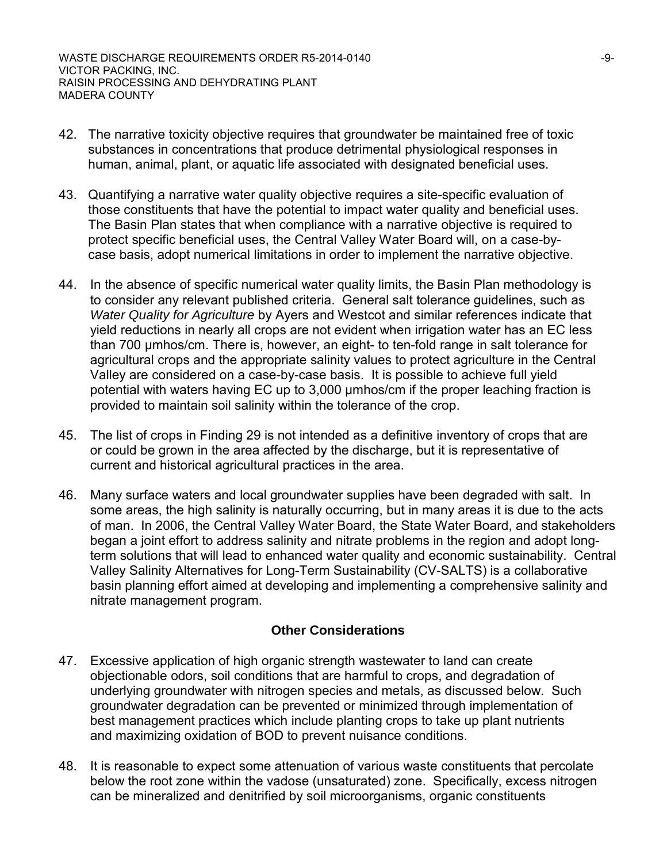- 42. The narrative toxicity objective requires that groundwater be maintained free of toxic substances in concentrations that produce detrimental physiological responses in human, animal, plant, or aquatic life associated with designated beneficial uses.
- 43. Quantifying a narrative water quality objective requires a site-specific evaluation of those constituents that have the potential to impact water quality and beneficial uses. The Basin Plan states that when compliance with a narrative objective is required to protect specific beneficial uses, the Central Valley Water Board will, on a case-bycase basis, adopt numerical limitations in order to implement the narrative objective.
- 44. In the absence of specific numerical water quality limits, the Basin Plan methodology is to consider any relevant published criteria. General salt tolerance guidelines, such as *Water Quality for Agriculture* by Ayers and Westcot and similar references indicate that yield reductions in nearly all crops are not evident when irrigation water has an EC less than 700 μmhos/cm. There is, however, an eight- to ten-fold range in salt tolerance for agricultural crops and the appropriate salinity values to protect agriculture in the Central Valley are considered on a case-by-case basis. It is possible to achieve full yield potential with waters having EC up to 3,000 μmhos/cm if the proper leaching fraction is provided to maintain soil salinity within the tolerance of the crop.
- 45. The list of crops in Finding 29 is not intended as a definitive inventory of crops that are or could be grown in the area affected by the discharge, but it is representative of current and historical agricultural practices in the area.
- 46. Many surface waters and local groundwater supplies have been degraded with salt. In some areas, the high salinity is naturally occurring, but in many areas it is due to the acts of man. In 2006, the Central Valley Water Board, the State Water Board, and stakeholders began a joint effort to address salinity and nitrate problems in the region and adopt longterm solutions that will lead to enhanced water quality and economic sustainability. Central Valley Salinity Alternatives for Long-Term Sustainability (CV-SALTS) is a collaborative basin planning effort aimed at developing and implementing a comprehensive salinity and nitrate management program.

## **Other Considerations**

- 47. Excessive application of high organic strength wastewater to land can create objectionable odors, soil conditions that are harmful to crops, and degradation of underlying groundwater with nitrogen species and metals, as discussed below. Such groundwater degradation can be prevented or minimized through implementation of best management practices which include planting crops to take up plant nutrients and maximizing oxidation of BOD to prevent nuisance conditions.
- 48. It is reasonable to expect some attenuation of various waste constituents that percolate below the root zone within the vadose (unsaturated) zone. Specifically, excess nitrogen can be mineralized and denitrified by soil microorganisms, organic constituents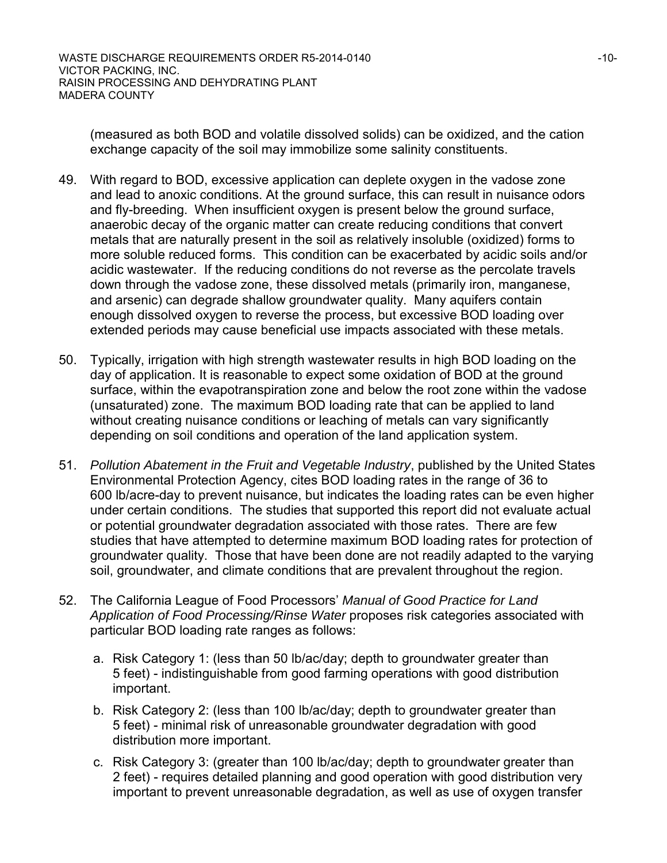(measured as both BOD and volatile dissolved solids) can be oxidized, and the cation exchange capacity of the soil may immobilize some salinity constituents.

- 49. With regard to BOD, excessive application can deplete oxygen in the vadose zone and lead to anoxic conditions. At the ground surface, this can result in nuisance odors and fly-breeding. When insufficient oxygen is present below the ground surface, anaerobic decay of the organic matter can create reducing conditions that convert metals that are naturally present in the soil as relatively insoluble (oxidized) forms to more soluble reduced forms. This condition can be exacerbated by acidic soils and/or acidic wastewater. If the reducing conditions do not reverse as the percolate travels down through the vadose zone, these dissolved metals (primarily iron, manganese, and arsenic) can degrade shallow groundwater quality. Many aquifers contain enough dissolved oxygen to reverse the process, but excessive BOD loading over extended periods may cause beneficial use impacts associated with these metals.
- 50. Typically, irrigation with high strength wastewater results in high BOD loading on the day of application. It is reasonable to expect some oxidation of BOD at the ground surface, within the evapotranspiration zone and below the root zone within the vadose (unsaturated) zone. The maximum BOD loading rate that can be applied to land without creating nuisance conditions or leaching of metals can vary significantly depending on soil conditions and operation of the land application system.
- 51. *Pollution Abatement in the Fruit and Vegetable Industry*, published by the United States Environmental Protection Agency, cites BOD loading rates in the range of 36 to 600 lb/acre-day to prevent nuisance, but indicates the loading rates can be even higher under certain conditions. The studies that supported this report did not evaluate actual or potential groundwater degradation associated with those rates. There are few studies that have attempted to determine maximum BOD loading rates for protection of groundwater quality. Those that have been done are not readily adapted to the varying soil, groundwater, and climate conditions that are prevalent throughout the region.
- 52. The California League of Food Processors' *Manual of Good Practice for Land Application of Food Processing/Rinse Water* proposes risk categories associated with particular BOD loading rate ranges as follows:
	- a. Risk Category 1: (less than 50 lb/ac/day; depth to groundwater greater than 5 feet) - indistinguishable from good farming operations with good distribution important.
	- b. Risk Category 2: (less than 100 lb/ac/day; depth to groundwater greater than 5 feet) - minimal risk of unreasonable groundwater degradation with good distribution more important.
	- c. Risk Category 3: (greater than 100 lb/ac/day; depth to groundwater greater than 2 feet) - requires detailed planning and good operation with good distribution very important to prevent unreasonable degradation, as well as use of oxygen transfer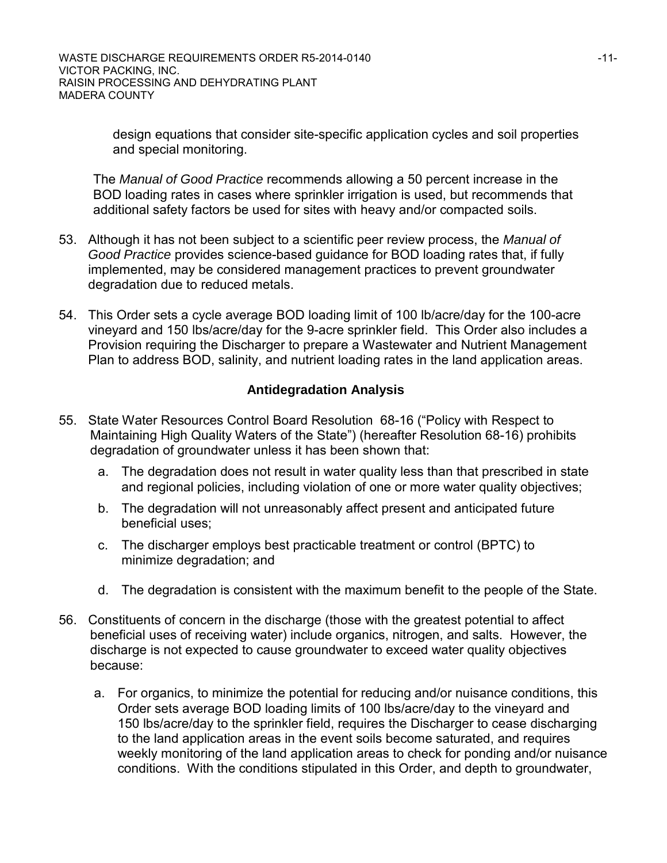design equations that consider site-specific application cycles and soil properties and special monitoring.

The *Manual of Good Practice* recommends allowing a 50 percent increase in the BOD loading rates in cases where sprinkler irrigation is used, but recommends that additional safety factors be used for sites with heavy and/or compacted soils.

- 53. Although it has not been subject to a scientific peer review process, the *Manual of Good Practice* provides science-based guidance for BOD loading rates that, if fully implemented, may be considered management practices to prevent groundwater degradation due to reduced metals.
- 54. This Order sets a cycle average BOD loading limit of 100 lb/acre/day for the 100-acre vineyard and 150 lbs/acre/day for the 9-acre sprinkler field. This Order also includes a Provision requiring the Discharger to prepare a Wastewater and Nutrient Management Plan to address BOD, salinity, and nutrient loading rates in the land application areas.

### **Antidegradation Analysis**

- 55. State Water Resources Control Board Resolution 68-16 ("Policy with Respect to Maintaining High Quality Waters of the State") (hereafter Resolution 68-16) prohibits degradation of groundwater unless it has been shown that:
	- a. The degradation does not result in water quality less than that prescribed in state and regional policies, including violation of one or more water quality objectives;
	- b. The degradation will not unreasonably affect present and anticipated future beneficial uses;
	- c. The discharger employs best practicable treatment or control (BPTC) to minimize degradation; and
	- d. The degradation is consistent with the maximum benefit to the people of the State.
- 56. Constituents of concern in the discharge (those with the greatest potential to affect beneficial uses of receiving water) include organics, nitrogen, and salts. However, the discharge is not expected to cause groundwater to exceed water quality objectives because:
	- a. For organics, to minimize the potential for reducing and/or nuisance conditions, this Order sets average BOD loading limits of 100 lbs/acre/day to the vineyard and 150 lbs/acre/day to the sprinkler field, requires the Discharger to cease discharging to the land application areas in the event soils become saturated, and requires weekly monitoring of the land application areas to check for ponding and/or nuisance conditions. With the conditions stipulated in this Order, and depth to groundwater,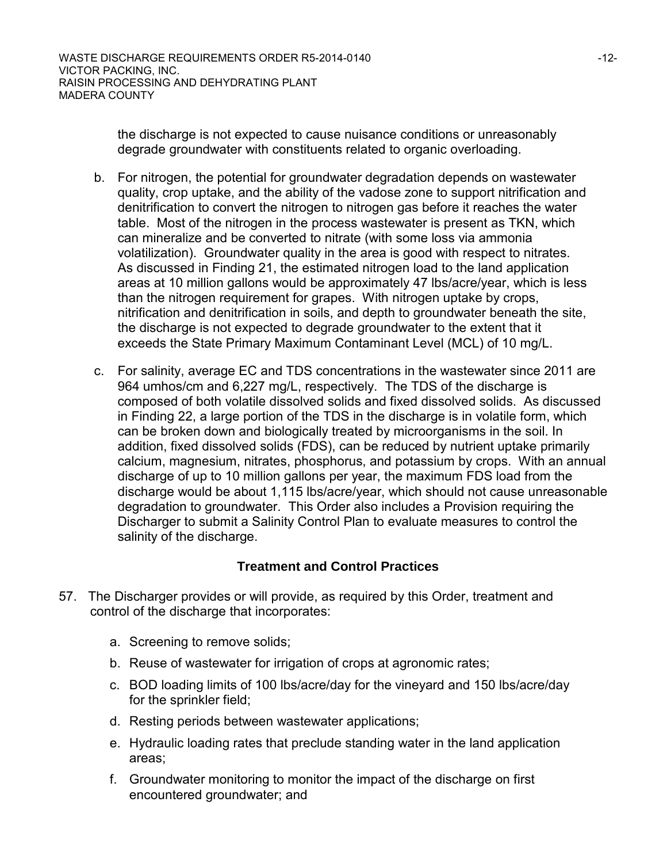the discharge is not expected to cause nuisance conditions or unreasonably degrade groundwater with constituents related to organic overloading.

- b. For nitrogen, the potential for groundwater degradation depends on wastewater quality, crop uptake, and the ability of the vadose zone to support nitrification and denitrification to convert the nitrogen to nitrogen gas before it reaches the water table. Most of the nitrogen in the process wastewater is present as TKN, which can mineralize and be converted to nitrate (with some loss via ammonia volatilization). Groundwater quality in the area is good with respect to nitrates. As discussed in Finding 21, the estimated nitrogen load to the land application areas at 10 million gallons would be approximately 47 lbs/acre/year, which is less than the nitrogen requirement for grapes. With nitrogen uptake by crops, nitrification and denitrification in soils, and depth to groundwater beneath the site, the discharge is not expected to degrade groundwater to the extent that it exceeds the State Primary Maximum Contaminant Level (MCL) of 10 mg/L.
- c. For salinity, average EC and TDS concentrations in the wastewater since 2011 are 964 umhos/cm and 6,227 mg/L, respectively. The TDS of the discharge is composed of both volatile dissolved solids and fixed dissolved solids. As discussed in Finding 22, a large portion of the TDS in the discharge is in volatile form, which can be broken down and biologically treated by microorganisms in the soil. In addition, fixed dissolved solids (FDS), can be reduced by nutrient uptake primarily calcium, magnesium, nitrates, phosphorus, and potassium by crops. With an annual discharge of up to 10 million gallons per year, the maximum FDS load from the discharge would be about 1,115 lbs/acre/year, which should not cause unreasonable degradation to groundwater. This Order also includes a Provision requiring the Discharger to submit a Salinity Control Plan to evaluate measures to control the salinity of the discharge.

## **Treatment and Control Practices**

- 57. The Discharger provides or will provide, as required by this Order, treatment and control of the discharge that incorporates:
	- a. Screening to remove solids;
	- b. Reuse of wastewater for irrigation of crops at agronomic rates;
	- c. BOD loading limits of 100 lbs/acre/day for the vineyard and 150 lbs/acre/day for the sprinkler field;
	- d. Resting periods between wastewater applications;
	- e. Hydraulic loading rates that preclude standing water in the land application areas;
	- f. Groundwater monitoring to monitor the impact of the discharge on first encountered groundwater; and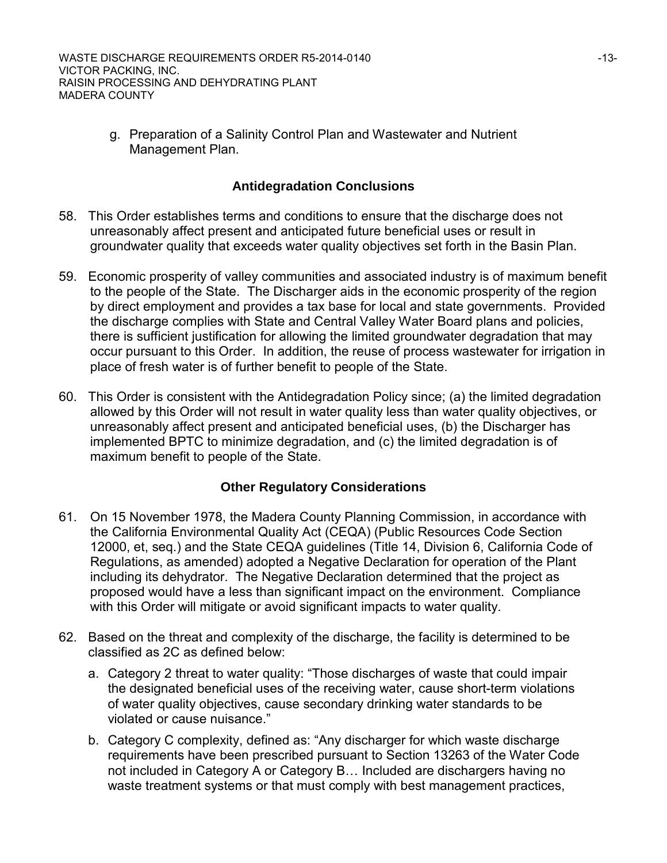g. Preparation of a Salinity Control Plan and Wastewater and Nutrient Management Plan.

## **Antidegradation Conclusions**

- 58. This Order establishes terms and conditions to ensure that the discharge does not unreasonably affect present and anticipated future beneficial uses or result in groundwater quality that exceeds water quality objectives set forth in the Basin Plan.
- 59. Economic prosperity of valley communities and associated industry is of maximum benefit to the people of the State. The Discharger aids in the economic prosperity of the region by direct employment and provides a tax base for local and state governments. Provided the discharge complies with State and Central Valley Water Board plans and policies, there is sufficient justification for allowing the limited groundwater degradation that may occur pursuant to this Order. In addition, the reuse of process wastewater for irrigation in place of fresh water is of further benefit to people of the State.
- 60. This Order is consistent with the Antidegradation Policy since; (a) the limited degradation allowed by this Order will not result in water quality less than water quality objectives, or unreasonably affect present and anticipated beneficial uses, (b) the Discharger has implemented BPTC to minimize degradation, and (c) the limited degradation is of maximum benefit to people of the State.

## **Other Regulatory Considerations**

- 61. On 15 November 1978, the Madera County Planning Commission, in accordance with the California Environmental Quality Act (CEQA) (Public Resources Code Section 12000, et, seq.) and the State CEQA guidelines (Title 14, Division 6, California Code of Regulations, as amended) adopted a Negative Declaration for operation of the Plant including its dehydrator. The Negative Declaration determined that the project as proposed would have a less than significant impact on the environment. Compliance with this Order will mitigate or avoid significant impacts to water quality.
- 62. Based on the threat and complexity of the discharge, the facility is determined to be classified as 2C as defined below:
	- a. Category 2 threat to water quality: "Those discharges of waste that could impair the designated beneficial uses of the receiving water, cause short-term violations of water quality objectives, cause secondary drinking water standards to be violated or cause nuisance."
	- b. Category C complexity, defined as: "Any discharger for which waste discharge requirements have been prescribed pursuant to Section 13263 of the Water Code not included in Category A or Category B… Included are dischargers having no waste treatment systems or that must comply with best management practices,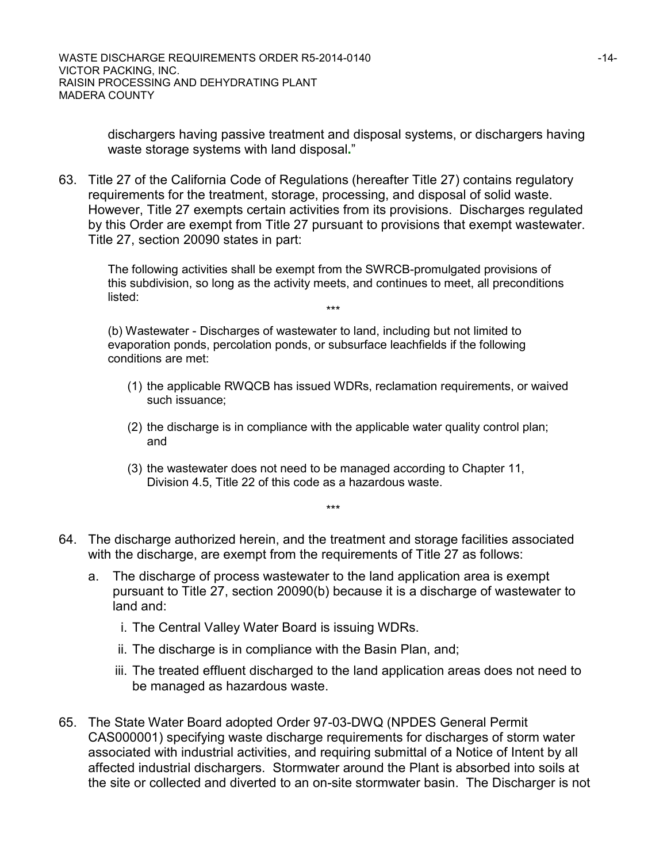dischargers having passive treatment and disposal systems, or dischargers having waste storage systems with land disposal**.**"

63. Title 27 of the California Code of Regulations (hereafter Title 27) contains regulatory requirements for the treatment, storage, processing, and disposal of solid waste. However, Title 27 exempts certain activities from its provisions. Discharges regulated by this Order are exempt from Title 27 pursuant to provisions that exempt wastewater. Title 27, section 20090 states in part:

The following activities shall be exempt from the SWRCB-promulgated provisions of this subdivision, so long as the activity meets, and continues to meet, all preconditions listed: \*\*\*

(b) Wastewater - Discharges of wastewater to land, including but not limited to evaporation ponds, percolation ponds, or subsurface leachfields if the following conditions are met:

- (1) the applicable RWQCB has issued WDRs, reclamation requirements, or waived such issuance;
- (2) the discharge is in compliance with the applicable water quality control plan; and
- (3) the wastewater does not need to be managed according to Chapter 11, Division 4.5, Title 22 of this code as a hazardous waste.

\*\*\*

- 64. The discharge authorized herein, and the treatment and storage facilities associated with the discharge, are exempt from the requirements of Title 27 as follows:
	- a. The discharge of process wastewater to the land application area is exempt pursuant to Title 27, section 20090(b) because it is a discharge of wastewater to land and:
		- i. The Central Valley Water Board is issuing WDRs.
		- ii. The discharge is in compliance with the Basin Plan, and;
		- iii. The treated effluent discharged to the land application areas does not need to be managed as hazardous waste.
- 65. The State Water Board adopted Order 97-03-DWQ (NPDES General Permit CAS000001) specifying waste discharge requirements for discharges of storm water associated with industrial activities, and requiring submittal of a Notice of Intent by all affected industrial dischargers. Stormwater around the Plant is absorbed into soils at the site or collected and diverted to an on-site stormwater basin. The Discharger is not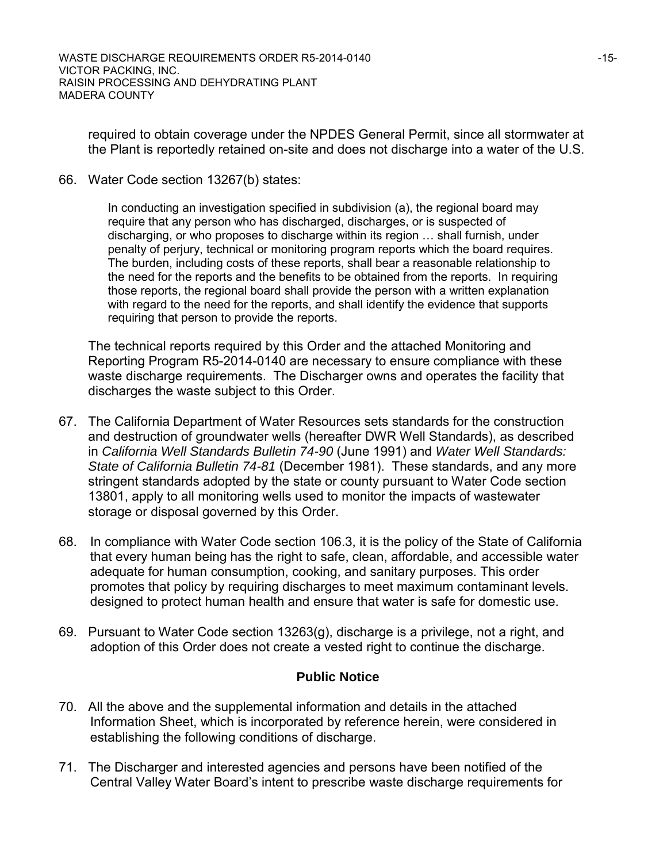required to obtain coverage under the NPDES General Permit, since all stormwater at the Plant is reportedly retained on-site and does not discharge into a water of the U.S.

66. Water Code section 13267(b) states:

In conducting an investigation specified in subdivision (a), the regional board may require that any person who has discharged, discharges, or is suspected of discharging, or who proposes to discharge within its region … shall furnish, under penalty of perjury, technical or monitoring program reports which the board requires. The burden, including costs of these reports, shall bear a reasonable relationship to the need for the reports and the benefits to be obtained from the reports. In requiring those reports, the regional board shall provide the person with a written explanation with regard to the need for the reports, and shall identify the evidence that supports requiring that person to provide the reports.

The technical reports required by this Order and the attached Monitoring and Reporting Program R5-2014-0140 are necessary to ensure compliance with these waste discharge requirements. The Discharger owns and operates the facility that discharges the waste subject to this Order.

- 67. The California Department of Water Resources sets standards for the construction and destruction of groundwater wells (hereafter DWR Well Standards), as described in *California Well Standards Bulletin 74-90* (June 1991) and *Water Well Standards: State of California Bulletin 74-81* (December 1981). These standards, and any more stringent standards adopted by the state or county pursuant to Water Code section 13801, apply to all monitoring wells used to monitor the impacts of wastewater storage or disposal governed by this Order.
- 68. In compliance with Water Code section 106.3, it is the policy of the State of California that every human being has the right to safe, clean, affordable, and accessible water adequate for human consumption, cooking, and sanitary purposes. This order promotes that policy by requiring discharges to meet maximum contaminant levels. designed to protect human health and ensure that water is safe for domestic use.
- 69. Pursuant to Water Code section 13263(g), discharge is a privilege, not a right, and adoption of this Order does not create a vested right to continue the discharge.

## **Public Notice**

- 70. All the above and the supplemental information and details in the attached Information Sheet, which is incorporated by reference herein, were considered in establishing the following conditions of discharge.
- 71. The Discharger and interested agencies and persons have been notified of the Central Valley Water Board's intent to prescribe waste discharge requirements for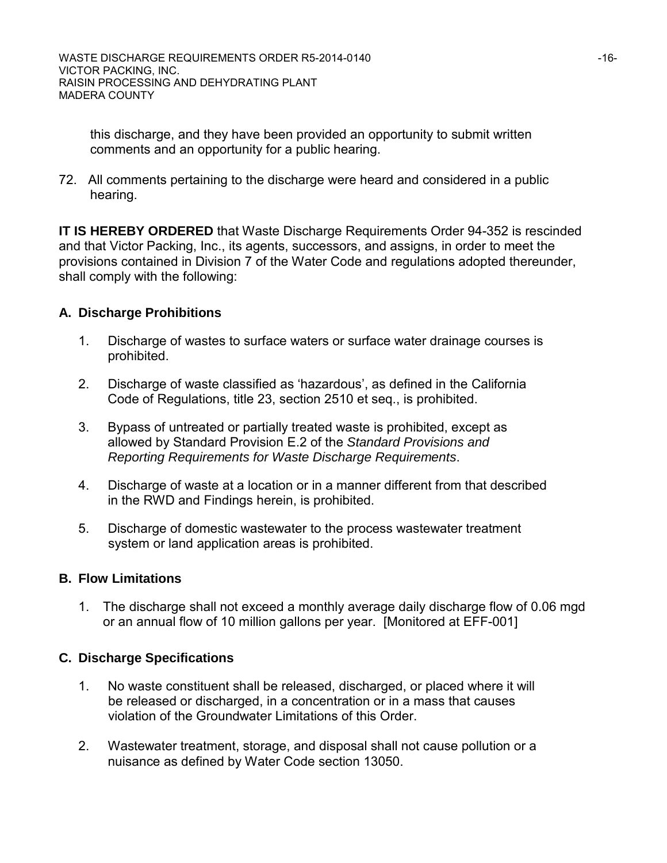this discharge, and they have been provided an opportunity to submit written comments and an opportunity for a public hearing.

72. All comments pertaining to the discharge were heard and considered in a public hearing.

**IT IS HEREBY ORDERED** that Waste Discharge Requirements Order 94-352 is rescinded and that Victor Packing, Inc., its agents, successors, and assigns, in order to meet the provisions contained in Division 7 of the Water Code and regulations adopted thereunder, shall comply with the following:

## **A. Discharge Prohibitions**

- 1. Discharge of wastes to surface waters or surface water drainage courses is prohibited.
- 2. Discharge of waste classified as 'hazardous', as defined in the California Code of Regulations, title 23, section 2510 et seq., is prohibited.
- 3. Bypass of untreated or partially treated waste is prohibited, except as allowed by Standard Provision E.2 of the *Standard Provisions and Reporting Requirements for Waste Discharge Requirements*.
- 4. Discharge of waste at a location or in a manner different from that described in the RWD and Findings herein, is prohibited.
- 5. Discharge of domestic wastewater to the process wastewater treatment system or land application areas is prohibited.

## **B. Flow Limitations**

1. The discharge shall not exceed a monthly average daily discharge flow of 0.06 mgd or an annual flow of 10 million gallons per year. [Monitored at EFF-001]

## **C. Discharge Specifications**

- 1. No waste constituent shall be released, discharged, or placed where it will be released or discharged, in a concentration or in a mass that causes violation of the Groundwater Limitations of this Order.
- 2. Wastewater treatment, storage, and disposal shall not cause pollution or a nuisance as defined by Water Code section 13050.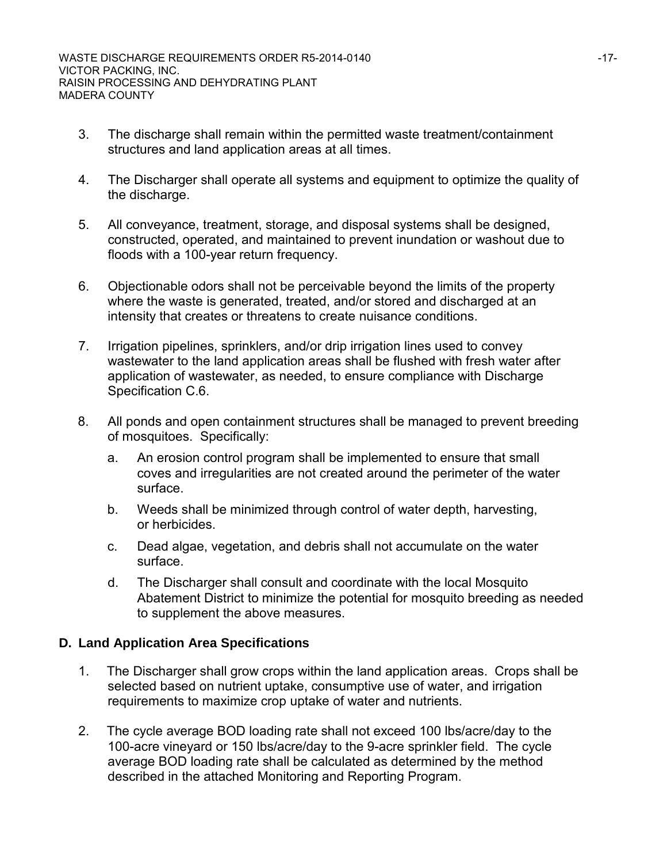- 3. The discharge shall remain within the permitted waste treatment/containment structures and land application areas at all times.
- 4. The Discharger shall operate all systems and equipment to optimize the quality of the discharge.
- 5. All conveyance, treatment, storage, and disposal systems shall be designed, constructed, operated, and maintained to prevent inundation or washout due to floods with a 100-year return frequency.
- 6. Objectionable odors shall not be perceivable beyond the limits of the property where the waste is generated, treated, and/or stored and discharged at an intensity that creates or threatens to create nuisance conditions.
- 7. Irrigation pipelines, sprinklers, and/or drip irrigation lines used to convey wastewater to the land application areas shall be flushed with fresh water after application of wastewater, as needed, to ensure compliance with Discharge Specification C.6.
- 8. All ponds and open containment structures shall be managed to prevent breeding of mosquitoes. Specifically:
	- a. An erosion control program shall be implemented to ensure that small coves and irregularities are not created around the perimeter of the water surface.
	- b. Weeds shall be minimized through control of water depth, harvesting, or herbicides.
	- c. Dead algae, vegetation, and debris shall not accumulate on the water surface.
	- d. The Discharger shall consult and coordinate with the local Mosquito Abatement District to minimize the potential for mosquito breeding as needed to supplement the above measures.

## **D. Land Application Area Specifications**

- 1. The Discharger shall grow crops within the land application areas. Crops shall be selected based on nutrient uptake, consumptive use of water, and irrigation requirements to maximize crop uptake of water and nutrients.
- 2. The cycle average BOD loading rate shall not exceed 100 lbs/acre/day to the 100-acre vineyard or 150 lbs/acre/day to the 9-acre sprinkler field. The cycle average BOD loading rate shall be calculated as determined by the method described in the attached Monitoring and Reporting Program.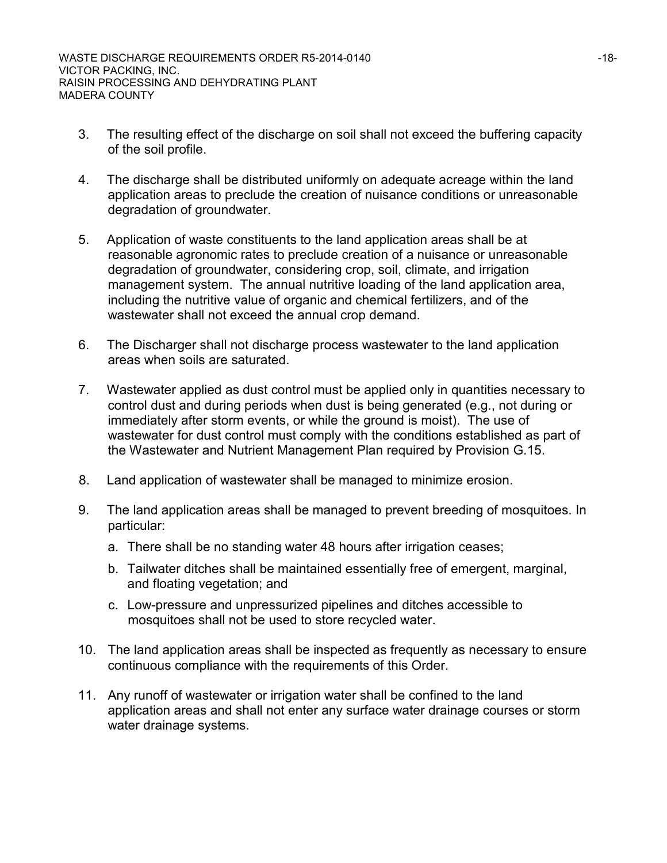- 3. The resulting effect of the discharge on soil shall not exceed the buffering capacity of the soil profile.
- 4. The discharge shall be distributed uniformly on adequate acreage within the land application areas to preclude the creation of nuisance conditions or unreasonable degradation of groundwater.
- 5. Application of waste constituents to the land application areas shall be at reasonable agronomic rates to preclude creation of a nuisance or unreasonable degradation of groundwater, considering crop, soil, climate, and irrigation management system. The annual nutritive loading of the land application area, including the nutritive value of organic and chemical fertilizers, and of the wastewater shall not exceed the annual crop demand.
- 6. The Discharger shall not discharge process wastewater to the land application areas when soils are saturated.
- 7. Wastewater applied as dust control must be applied only in quantities necessary to control dust and during periods when dust is being generated (e.g., not during or immediately after storm events, or while the ground is moist). The use of wastewater for dust control must comply with the conditions established as part of the Wastewater and Nutrient Management Plan required by Provision G.15.
- 8. Land application of wastewater shall be managed to minimize erosion.
- 9. The land application areas shall be managed to prevent breeding of mosquitoes. In particular:
	- a. There shall be no standing water 48 hours after irrigation ceases;
	- b. Tailwater ditches shall be maintained essentially free of emergent, marginal, and floating vegetation; and
	- c. Low-pressure and unpressurized pipelines and ditches accessible to mosquitoes shall not be used to store recycled water.
- 10. The land application areas shall be inspected as frequently as necessary to ensure continuous compliance with the requirements of this Order.
- 11. Any runoff of wastewater or irrigation water shall be confined to the land application areas and shall not enter any surface water drainage courses or storm water drainage systems.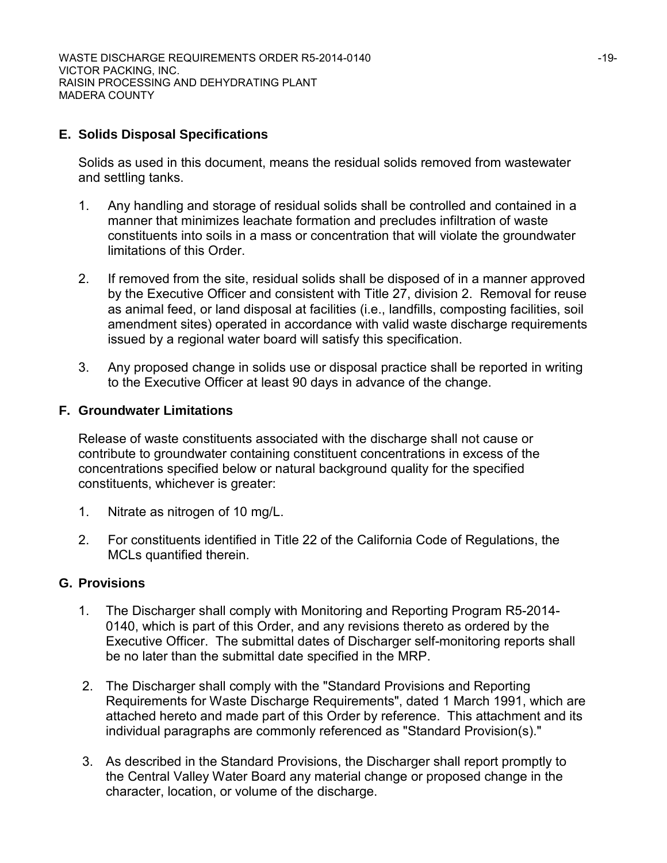## **E. Solids Disposal Specifications**

Solids as used in this document, means the residual solids removed from wastewater and settling tanks.

- 1. Any handling and storage of residual solids shall be controlled and contained in a manner that minimizes leachate formation and precludes infiltration of waste constituents into soils in a mass or concentration that will violate the groundwater limitations of this Order.
- 2. If removed from the site, residual solids shall be disposed of in a manner approved by the Executive Officer and consistent with Title 27, division 2. Removal for reuse as animal feed, or land disposal at facilities (i.e., landfills, composting facilities, soil amendment sites) operated in accordance with valid waste discharge requirements issued by a regional water board will satisfy this specification.
- 3. Any proposed change in solids use or disposal practice shall be reported in writing to the Executive Officer at least 90 days in advance of the change.

## **F. Groundwater Limitations**

Release of waste constituents associated with the discharge shall not cause or contribute to groundwater containing constituent concentrations in excess of the concentrations specified below or natural background quality for the specified constituents, whichever is greater:

- 1. Nitrate as nitrogen of 10 mg/L.
- 2. For constituents identified in Title 22 of the California Code of Regulations, the MCLs quantified therein.

## **G. Provisions**

- 1. The Discharger shall comply with Monitoring and Reporting Program R5-2014- 0140, which is part of this Order, and any revisions thereto as ordered by the Executive Officer. The submittal dates of Discharger self-monitoring reports shall be no later than the submittal date specified in the MRP.
- 2. The Discharger shall comply with the "Standard Provisions and Reporting Requirements for Waste Discharge Requirements", dated 1 March 1991, which are attached hereto and made part of this Order by reference. This attachment and its individual paragraphs are commonly referenced as "Standard Provision(s)."
- 3. As described in the Standard Provisions, the Discharger shall report promptly to the Central Valley Water Board any material change or proposed change in the character, location, or volume of the discharge.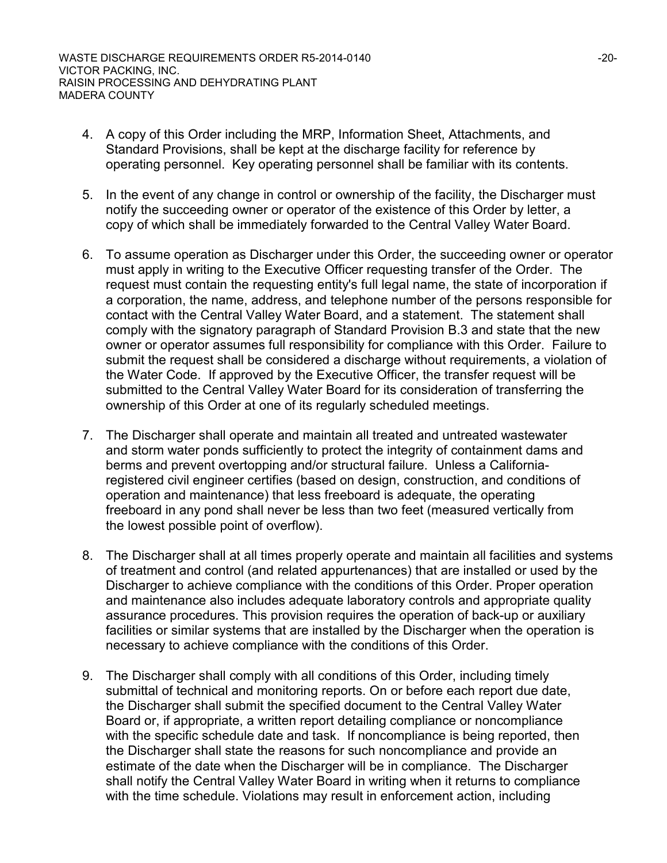- 4. A copy of this Order including the MRP, Information Sheet, Attachments, and Standard Provisions, shall be kept at the discharge facility for reference by operating personnel. Key operating personnel shall be familiar with its contents.
- 5. In the event of any change in control or ownership of the facility, the Discharger must notify the succeeding owner or operator of the existence of this Order by letter, a copy of which shall be immediately forwarded to the Central Valley Water Board.
- 6. To assume operation as Discharger under this Order, the succeeding owner or operator must apply in writing to the Executive Officer requesting transfer of the Order. The request must contain the requesting entity's full legal name, the state of incorporation if a corporation, the name, address, and telephone number of the persons responsible for contact with the Central Valley Water Board, and a statement. The statement shall comply with the signatory paragraph of Standard Provision B.3 and state that the new owner or operator assumes full responsibility for compliance with this Order. Failure to submit the request shall be considered a discharge without requirements, a violation of the Water Code. If approved by the Executive Officer, the transfer request will be submitted to the Central Valley Water Board for its consideration of transferring the ownership of this Order at one of its regularly scheduled meetings.
- 7. The Discharger shall operate and maintain all treated and untreated wastewater and storm water ponds sufficiently to protect the integrity of containment dams and berms and prevent overtopping and/or structural failure. Unless a Californiaregistered civil engineer certifies (based on design, construction, and conditions of operation and maintenance) that less freeboard is adequate, the operating freeboard in any pond shall never be less than two feet (measured vertically from the lowest possible point of overflow).
- 8. The Discharger shall at all times properly operate and maintain all facilities and systems of treatment and control (and related appurtenances) that are installed or used by the Discharger to achieve compliance with the conditions of this Order. Proper operation and maintenance also includes adequate laboratory controls and appropriate quality assurance procedures. This provision requires the operation of back-up or auxiliary facilities or similar systems that are installed by the Discharger when the operation is necessary to achieve compliance with the conditions of this Order.
- 9. The Discharger shall comply with all conditions of this Order, including timely submittal of technical and monitoring reports. On or before each report due date, the Discharger shall submit the specified document to the Central Valley Water Board or, if appropriate, a written report detailing compliance or noncompliance with the specific schedule date and task. If noncompliance is being reported, then the Discharger shall state the reasons for such noncompliance and provide an estimate of the date when the Discharger will be in compliance. The Discharger shall notify the Central Valley Water Board in writing when it returns to compliance with the time schedule. Violations may result in enforcement action, including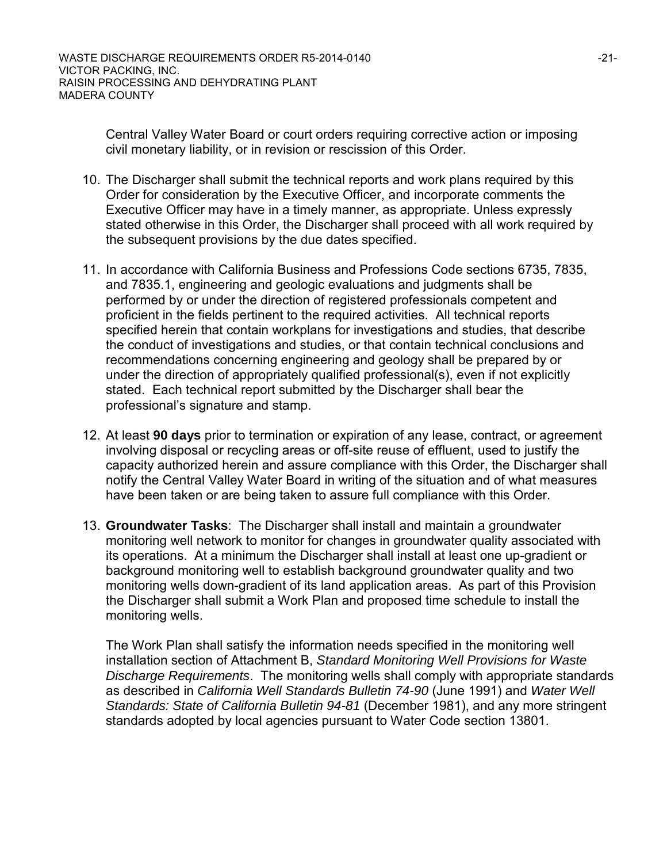Central Valley Water Board or court orders requiring corrective action or imposing civil monetary liability, or in revision or rescission of this Order.

- 10. The Discharger shall submit the technical reports and work plans required by this Order for consideration by the Executive Officer, and incorporate comments the Executive Officer may have in a timely manner, as appropriate. Unless expressly stated otherwise in this Order, the Discharger shall proceed with all work required by the subsequent provisions by the due dates specified.
- 11. In accordance with California Business and Professions Code sections 6735, 7835, and 7835.1, engineering and geologic evaluations and judgments shall be performed by or under the direction of registered professionals competent and proficient in the fields pertinent to the required activities. All technical reports specified herein that contain workplans for investigations and studies, that describe the conduct of investigations and studies, or that contain technical conclusions and recommendations concerning engineering and geology shall be prepared by or under the direction of appropriately qualified professional(s), even if not explicitly stated. Each technical report submitted by the Discharger shall bear the professional's signature and stamp.
- 12. At least **90 days** prior to termination or expiration of any lease, contract, or agreement involving disposal or recycling areas or off-site reuse of effluent, used to justify the capacity authorized herein and assure compliance with this Order, the Discharger shall notify the Central Valley Water Board in writing of the situation and of what measures have been taken or are being taken to assure full compliance with this Order.
- 13. **Groundwater Tasks**: The Discharger shall install and maintain a groundwater monitoring well network to monitor for changes in groundwater quality associated with its operations. At a minimum the Discharger shall install at least one up-gradient or background monitoring well to establish background groundwater quality and two monitoring wells down-gradient of its land application areas. As part of this Provision the Discharger shall submit a Work Plan and proposed time schedule to install the monitoring wells.

The Work Plan shall satisfy the information needs specified in the monitoring well installation section of Attachment B, *Standard Monitoring Well Provisions for Waste Discharge Requirements*. The monitoring wells shall comply with appropriate standards as described in *California Well Standards Bulletin 74-90* (June 1991) and *Water Well Standards: State of California Bulletin 94-81* (December 1981), and any more stringent standards adopted by local agencies pursuant to Water Code section 13801.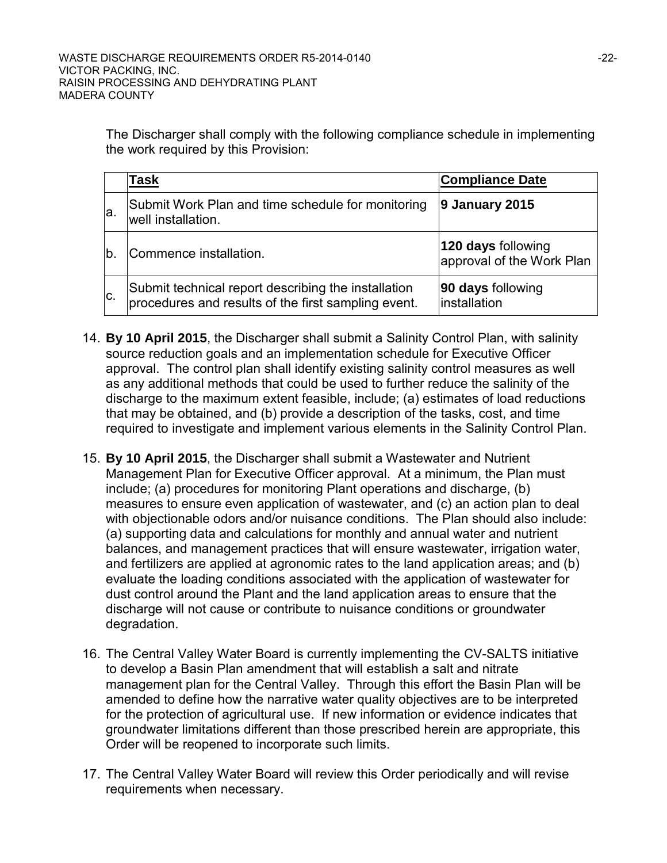The Discharger shall comply with the following compliance schedule in implementing the work required by this Provision:

|     | Task                                                                                                       | <b>Compliance Date</b>                          |
|-----|------------------------------------------------------------------------------------------------------------|-------------------------------------------------|
| la. | Submit Work Plan and time schedule for monitoring<br>well installation.                                    | 9 January 2015                                  |
| b   | Commence installation.                                                                                     | 120 days following<br>approval of the Work Plan |
| C.  | Submit technical report describing the installation<br>procedures and results of the first sampling event. | 90 days following<br>installation               |

- 14. **By 10 April 2015**, the Discharger shall submit a Salinity Control Plan, with salinity source reduction goals and an implementation schedule for Executive Officer approval. The control plan shall identify existing salinity control measures as well as any additional methods that could be used to further reduce the salinity of the discharge to the maximum extent feasible, include; (a) estimates of load reductions that may be obtained, and (b) provide a description of the tasks, cost, and time required to investigate and implement various elements in the Salinity Control Plan.
- 15. **By 10 April 2015**, the Discharger shall submit a Wastewater and Nutrient Management Plan for Executive Officer approval. At a minimum, the Plan must include; (a) procedures for monitoring Plant operations and discharge, (b) measures to ensure even application of wastewater, and (c) an action plan to deal with objectionable odors and/or nuisance conditions. The Plan should also include: (a) supporting data and calculations for monthly and annual water and nutrient balances, and management practices that will ensure wastewater, irrigation water, and fertilizers are applied at agronomic rates to the land application areas; and (b) evaluate the loading conditions associated with the application of wastewater for dust control around the Plant and the land application areas to ensure that the discharge will not cause or contribute to nuisance conditions or groundwater degradation.
- 16. The Central Valley Water Board is currently implementing the CV-SALTS initiative to develop a Basin Plan amendment that will establish a salt and nitrate management plan for the Central Valley. Through this effort the Basin Plan will be amended to define how the narrative water quality objectives are to be interpreted for the protection of agricultural use. If new information or evidence indicates that groundwater limitations different than those prescribed herein are appropriate, this Order will be reopened to incorporate such limits.
- 17. The Central Valley Water Board will review this Order periodically and will revise requirements when necessary.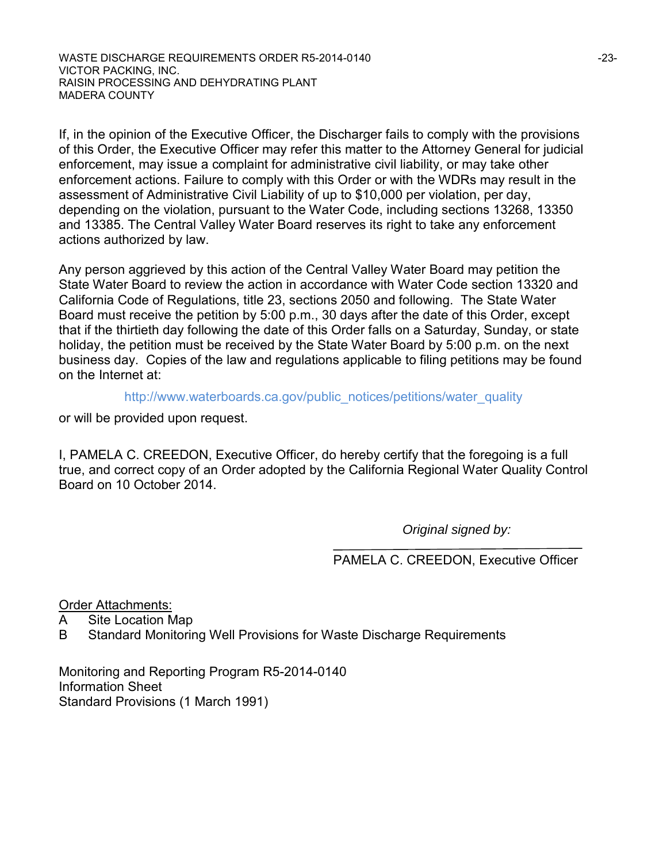WASTE DISCHARGE REQUIREMENTS ORDER R5-2014-0140  $-23-23$ VICTOR PACKING, INC. RAISIN PROCESSING AND DEHYDRATING PLANT MADERA COUNTY

If, in the opinion of the Executive Officer, the Discharger fails to comply with the provisions of this Order, the Executive Officer may refer this matter to the Attorney General for judicial enforcement, may issue a complaint for administrative civil liability, or may take other enforcement actions. Failure to comply with this Order or with the WDRs may result in the assessment of Administrative Civil Liability of up to \$10,000 per violation, per day, depending on the violation, pursuant to the Water Code, including sections 13268, 13350 and 13385. The Central Valley Water Board reserves its right to take any enforcement actions authorized by law.

Any person aggrieved by this action of the Central Valley Water Board may petition the State Water Board to review the action in accordance with Water Code section 13320 and California Code of Regulations, title 23, sections 2050 and following. The State Water Board must receive the petition by 5:00 p.m., 30 days after the date of this Order, except that if the thirtieth day following the date of this Order falls on a Saturday, Sunday, or state holiday, the petition must be received by the State Water Board by 5:00 p.m. on the next business day. Copies of the law and regulations applicable to filing petitions may be found on the Internet at:

http://www.waterboards.ca.gov/public\_notices/petitions/water\_quality

or will be provided upon request.

I, PAMELA C. CREEDON, Executive Officer, do hereby certify that the foregoing is a full true, and correct copy of an Order adopted by the California Regional Water Quality Control Board on 10 October 2014.

*Original signed by:*

PAMELA C. CREEDON, Executive Officer

Order Attachments:

- A Site Location Map
- B Standard Monitoring Well Provisions for Waste Discharge Requirements

Monitoring and Reporting Program R5-2014-0140 Information Sheet Standard Provisions (1 March 1991)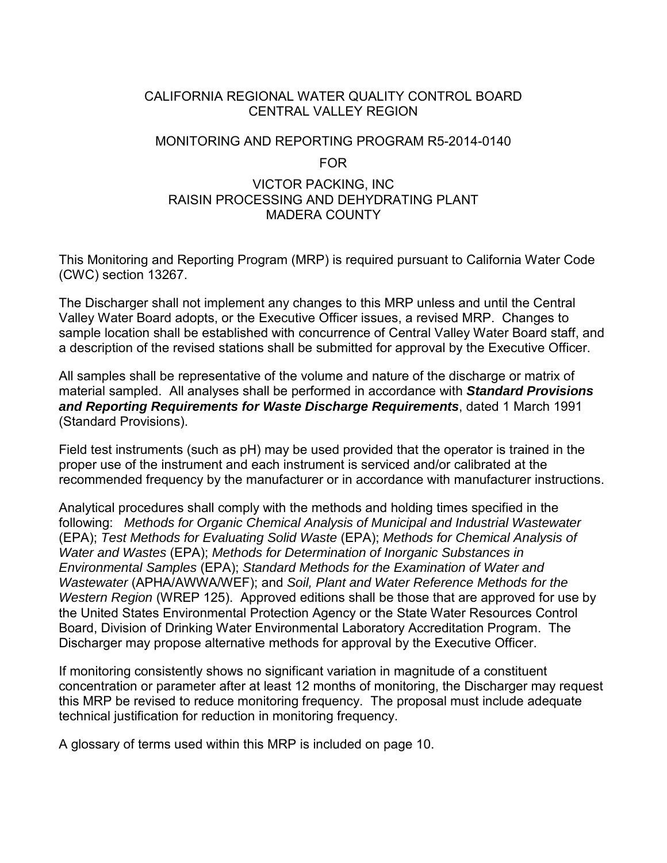## CALIFORNIA REGIONAL WATER QUALITY CONTROL BOARD CENTRAL VALLEY REGION

#### MONITORING AND REPORTING PROGRAM R5-2014-0140

#### FOR

#### VICTOR PACKING, INC RAISIN PROCESSING AND DEHYDRATING PLANT MADERA COUNTY

This Monitoring and Reporting Program (MRP) is required pursuant to California Water Code (CWC) section 13267.

The Discharger shall not implement any changes to this MRP unless and until the Central Valley Water Board adopts, or the Executive Officer issues, a revised MRP. Changes to sample location shall be established with concurrence of Central Valley Water Board staff, and a description of the revised stations shall be submitted for approval by the Executive Officer.

All samples shall be representative of the volume and nature of the discharge or matrix of material sampled. All analyses shall be performed in accordance with *Standard Provisions and Reporting Requirements for Waste Discharge Requirements*, dated 1 March 1991 (Standard Provisions).

Field test instruments (such as pH) may be used provided that the operator is trained in the proper use of the instrument and each instrument is serviced and/or calibrated at the recommended frequency by the manufacturer or in accordance with manufacturer instructions.

Analytical procedures shall comply with the methods and holding times specified in the following: *Methods for Organic Chemical Analysis of Municipal and Industrial Wastewater* (EPA); *Test Methods for Evaluating Solid Waste* (EPA); *Methods for Chemical Analysis of Water and Wastes* (EPA); *Methods for Determination of Inorganic Substances in Environmental Samples* (EPA); *Standard Methods for the Examination of Water and Wastewater* (APHA/AWWA/WEF); and *Soil, Plant and Water Reference Methods for the Western Region* (WREP 125). Approved editions shall be those that are approved for use by the United States Environmental Protection Agency or the State Water Resources Control Board, Division of Drinking Water Environmental Laboratory Accreditation Program. The Discharger may propose alternative methods for approval by the Executive Officer.

If monitoring consistently shows no significant variation in magnitude of a constituent concentration or parameter after at least 12 months of monitoring, the Discharger may request this MRP be revised to reduce monitoring frequency. The proposal must include adequate technical justification for reduction in monitoring frequency.

A glossary of terms used within this MRP is included on page 10.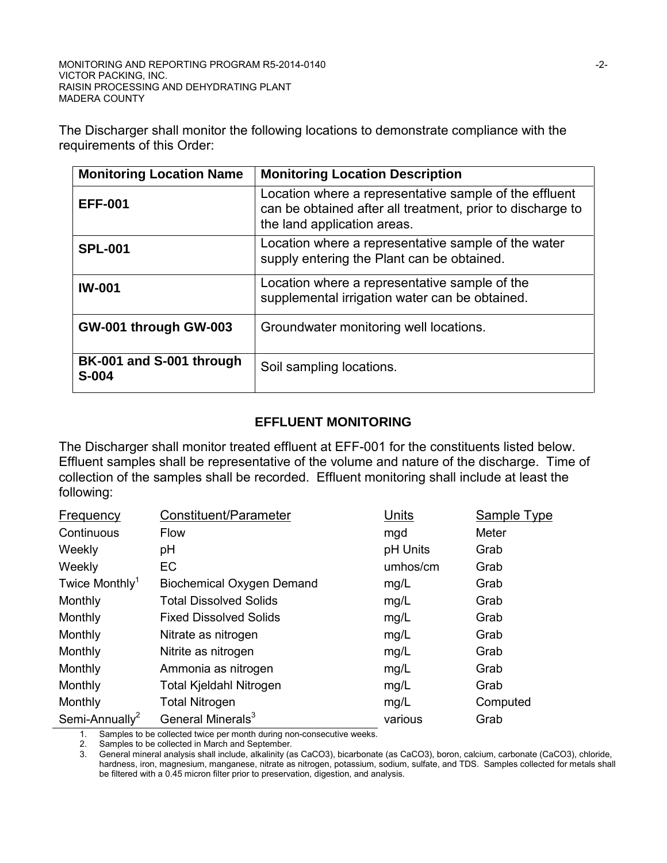The Discharger shall monitor the following locations to demonstrate compliance with the requirements of this Order:

| <b>Monitoring Location Name</b>     | <b>Monitoring Location Description</b>                                                                                                              |
|-------------------------------------|-----------------------------------------------------------------------------------------------------------------------------------------------------|
| <b>EFF-001</b>                      | Location where a representative sample of the effluent<br>can be obtained after all treatment, prior to discharge to<br>the land application areas. |
| <b>SPL-001</b>                      | Location where a representative sample of the water<br>supply entering the Plant can be obtained.                                                   |
| <b>IW-001</b>                       | Location where a representative sample of the<br>supplemental irrigation water can be obtained.                                                     |
| GW-001 through GW-003               | Groundwater monitoring well locations.                                                                                                              |
| BK-001 and S-001 through<br>$S-004$ | Soil sampling locations.                                                                                                                            |

## **EFFLUENT MONITORING**

The Discharger shall monitor treated effluent at EFF-001 for the constituents listed below. Effluent samples shall be representative of the volume and nature of the discharge. Time of collection of the samples shall be recorded. Effluent monitoring shall include at least the following:

| Frequency                  | Constituent/Parameter            | Units    | Sample Type |
|----------------------------|----------------------------------|----------|-------------|
| Continuous                 | <b>Flow</b>                      | mgd      | Meter       |
| Weekly                     | pH                               | pH Units | Grab        |
| Weekly                     | <b>EC</b>                        | umhos/cm | Grab        |
| Twice Monthly <sup>1</sup> | <b>Biochemical Oxygen Demand</b> | mg/L     | Grab        |
| Monthly                    | <b>Total Dissolved Solids</b>    | mg/L     | Grab        |
| Monthly                    | <b>Fixed Dissolved Solids</b>    | mg/L     | Grab        |
| Monthly                    | Nitrate as nitrogen              | mg/L     | Grab        |
| Monthly                    | Nitrite as nitrogen              | mg/L     | Grab        |
| Monthly                    | Ammonia as nitrogen              | mg/L     | Grab        |
| Monthly                    | <b>Total Kjeldahl Nitrogen</b>   | mg/L     | Grab        |
| Monthly                    | <b>Total Nitrogen</b>            | mg/L     | Computed    |
| Semi-Annually <sup>2</sup> | General Minerals <sup>3</sup>    | various  | Grab        |

1. Samples to be collected twice per month during non-consecutive weeks.

2. Samples to be collected in March and September.

3. General mineral analysis shall include, alkalinity (as CaCO3), bicarbonate (as CaCO3), boron, calcium, carbonate (CaCO3), chloride, hardness, iron, magnesium, manganese, nitrate as nitrogen, potassium, sodium, sulfate, and TDS. Samples collected for metals shall be filtered with a 0.45 micron filter prior to preservation, digestion, and analysis.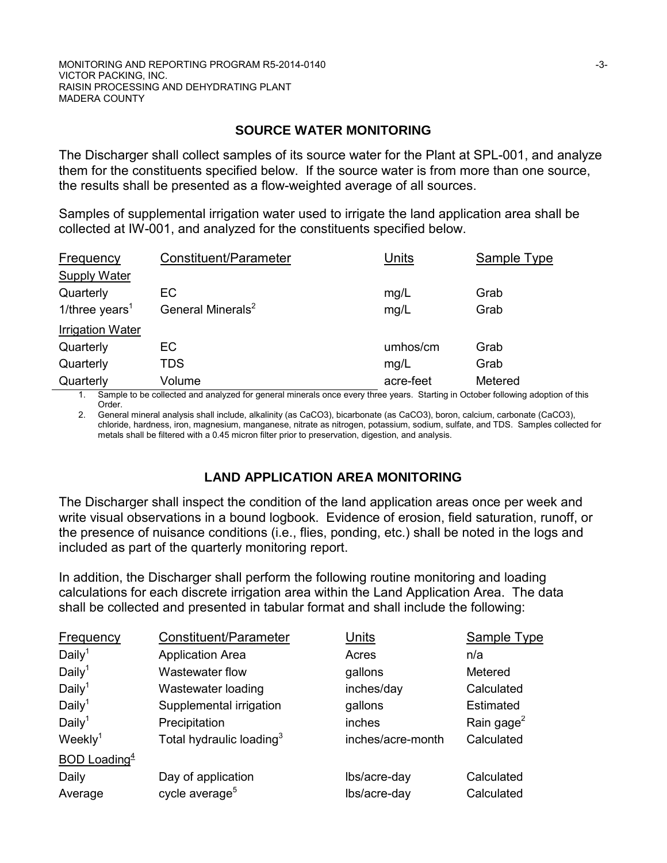## **SOURCE WATER MONITORING**

The Discharger shall collect samples of its source water for the Plant at SPL-001, and analyze them for the constituents specified below. If the source water is from more than one source, the results shall be presented as a flow-weighted average of all sources.

Samples of supplemental irrigation water used to irrigate the land application area shall be collected at IW-001, and analyzed for the constituents specified below.

| <b>Frequency</b>           | Constituent/Parameter         | Units     | Sample Type |
|----------------------------|-------------------------------|-----------|-------------|
| <b>Supply Water</b>        |                               |           |             |
| Quarterly                  | EC                            | mg/L      | Grab        |
| 1/three years <sup>1</sup> | General Minerals <sup>2</sup> | mg/L      | Grab        |
| <b>Irrigation Water</b>    |                               |           |             |
| Quarterly                  | EC                            | umhos/cm  | Grab        |
| Quarterly                  | <b>TDS</b>                    | mg/L      | Grab        |
| Quarterly                  | Volume                        | acre-feet | Metered     |

1. Sample to be collected and analyzed for general minerals once every three years. Starting in October following adoption of this Order.

2. General mineral analysis shall include, alkalinity (as CaCO3), bicarbonate (as CaCO3), boron, calcium, carbonate (CaCO3), chloride, hardness, iron, magnesium, manganese, nitrate as nitrogen, potassium, sodium, sulfate, and TDS. Samples collected for metals shall be filtered with a 0.45 micron filter prior to preservation, digestion, and analysis.

## **LAND APPLICATION AREA MONITORING**

The Discharger shall inspect the condition of the land application areas once per week and write visual observations in a bound logbook. Evidence of erosion, field saturation, runoff, or the presence of nuisance conditions (i.e., flies, ponding, etc.) shall be noted in the logs and included as part of the quarterly monitoring report.

In addition, the Discharger shall perform the following routine monitoring and loading calculations for each discrete irrigation area within the Land Application Area. The data shall be collected and presented in tabular format and shall include the following:

| <b>Frequency</b>                | Constituent/Parameter                | Units             | <b>Sample Type</b>     |
|---------------------------------|--------------------------------------|-------------------|------------------------|
| Daily <sup>1</sup>              | <b>Application Area</b>              | Acres             | n/a                    |
| Daily <sup>1</sup>              | Wastewater flow                      | gallons           | Metered                |
| Daily <sup>1</sup>              | Wastewater loading                   | inches/day        | Calculated             |
| Daily <sup>1</sup>              | Supplemental irrigation              | gallons           | Estimated              |
| Daily <sup>1</sup>              | Precipitation                        | inches            | Rain gage <sup>2</sup> |
| Weekly <sup>1</sup>             | Total hydraulic loading <sup>3</sup> | inches/acre-month | Calculated             |
| <b>BOD</b> Loading <sup>4</sup> |                                      |                   |                        |
| Daily                           | Day of application                   | Ibs/acre-day      | Calculated             |
| Average                         | cycle average <sup>5</sup>           | Ibs/acre-day      | Calculated             |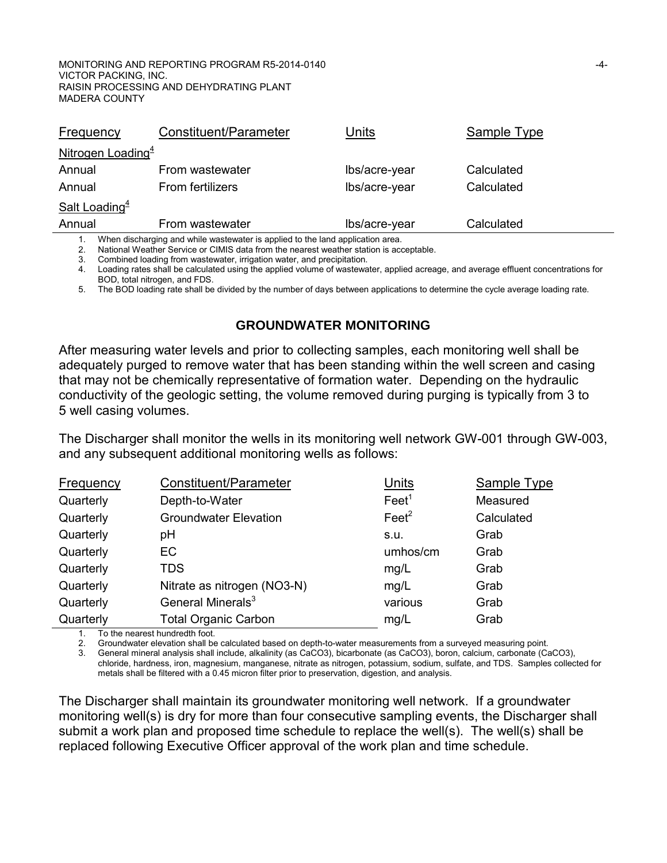| Frequency                                                                      | Constituent/Parameter   | Units         | Sample Type |  |
|--------------------------------------------------------------------------------|-------------------------|---------------|-------------|--|
| Nitrogen Loading <sup>4</sup>                                                  |                         |               |             |  |
| Annual                                                                         | From wastewater         | lbs/acre-year | Calculated  |  |
| Annual                                                                         | <b>From fertilizers</b> | Ibs/acre-year | Calculated  |  |
| <b>Salt Loading</b> <sup>4</sup>                                               |                         |               |             |  |
| Annual                                                                         | From wastewater         | lbs/acre-year | Calculated  |  |
| When discharging and while wastewater is applied to the land application area. |                         |               |             |  |

2. National Weather Service or CIMIS data from the nearest weather station is acceptable.

3. Combined loading from wastewater, irrigation water, and precipitation.

4. Loading rates shall be calculated using the applied volume of wastewater, applied acreage, and average effluent concentrations for BOD, total nitrogen, and FDS.

5. The BOD loading rate shall be divided by the number of days between applications to determine the cycle average loading rate.

#### **GROUNDWATER MONITORING**

After measuring water levels and prior to collecting samples, each monitoring well shall be adequately purged to remove water that has been standing within the well screen and casing that may not be chemically representative of formation water. Depending on the hydraulic conductivity of the geologic setting, the volume removed during purging is typically from 3 to 5 well casing volumes.

The Discharger shall monitor the wells in its monitoring well network GW-001 through GW-003, and any subsequent additional monitoring wells as follows:

| <b>Frequency</b> | Constituent/Parameter         | <b>Units</b>      | <b>Sample Type</b> |
|------------------|-------------------------------|-------------------|--------------------|
| Quarterly        | Depth-to-Water                | Feet <sup>1</sup> | Measured           |
| Quarterly        | <b>Groundwater Elevation</b>  | Feet <sup>2</sup> | Calculated         |
| Quarterly        | pH                            | S.U.              | Grab               |
| Quarterly        | EC                            | umhos/cm          | Grab               |
| Quarterly        | <b>TDS</b>                    | mg/L              | Grab               |
| Quarterly        | Nitrate as nitrogen (NO3-N)   | mg/L              | Grab               |
| Quarterly        | General Minerals <sup>3</sup> | various           | Grab               |
| Quarterly        | <b>Total Organic Carbon</b>   | mg/L              | Grab               |

1. To the nearest hundredth foot.

2. Groundwater elevation shall be calculated based on depth-to-water measurements from a surveyed measuring point.

3. General mineral analysis shall include, alkalinity (as CaCO3), bicarbonate (as CaCO3), boron, calcium, carbonate (CaCO3), chloride, hardness, iron, magnesium, manganese, nitrate as nitrogen, potassium, sodium, sulfate, and TDS. Samples collected for metals shall be filtered with a 0.45 micron filter prior to preservation, digestion, and analysis.

The Discharger shall maintain its groundwater monitoring well network. If a groundwater monitoring well(s) is dry for more than four consecutive sampling events, the Discharger shall submit a work plan and proposed time schedule to replace the well(s). The well(s) shall be replaced following Executive Officer approval of the work plan and time schedule.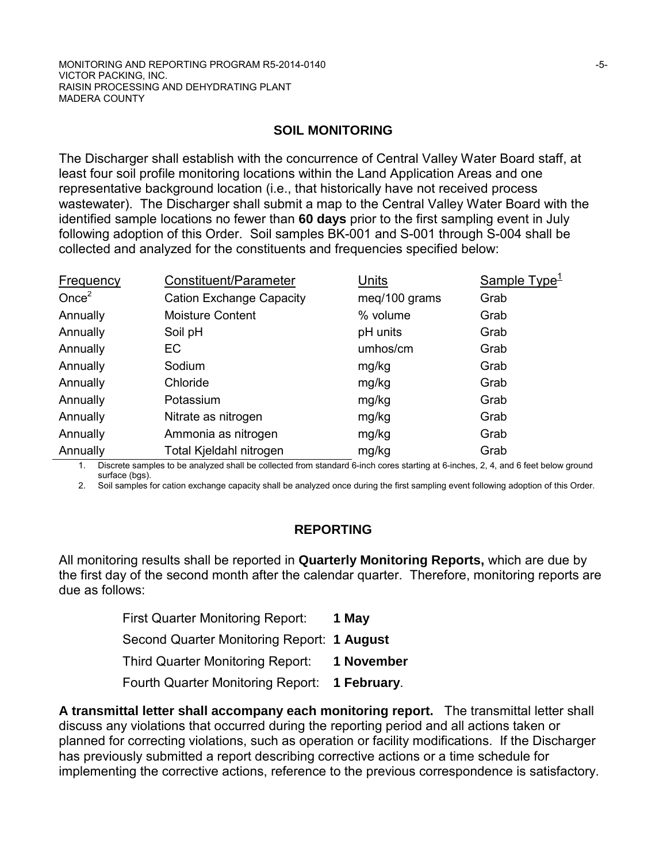## **SOIL MONITORING**

The Discharger shall establish with the concurrence of Central Valley Water Board staff, at least four soil profile monitoring locations within the Land Application Areas and one representative background location (i.e., that historically have not received process wastewater). The Discharger shall submit a map to the Central Valley Water Board with the identified sample locations no fewer than **60 days** prior to the first sampling event in July following adoption of this Order. Soil samples BK-001 and S-001 through S-004 shall be collected and analyzed for the constituents and frequencies specified below:

| <b>Frequency</b> | Constituent/Parameter           | <b>Units</b>  | Sample Type <sup>1</sup> |
|------------------|---------------------------------|---------------|--------------------------|
| Once $2$         | <b>Cation Exchange Capacity</b> | meq/100 grams | Grab                     |
| Annually         | <b>Moisture Content</b>         | % volume      | Grab                     |
| Annually         | Soil pH                         | pH units      | Grab                     |
| Annually         | EC                              | umhos/cm      | Grab                     |
| Annually         | Sodium                          | mg/kg         | Grab                     |
| Annually         | Chloride                        | mg/kg         | Grab                     |
| Annually         | Potassium                       | mg/kg         | Grab                     |
| Annually         | Nitrate as nitrogen             | mg/kg         | Grab                     |
| Annually         | Ammonia as nitrogen             | mg/kg         | Grab                     |
| Annually         | Total Kjeldahl nitrogen         | mg/kg         | Grab                     |

1. Discrete samples to be analyzed shall be collected from standard 6-inch cores starting at 6-inches, 2, 4, and 6 feet below ground surface (bgs).

2. Soil samples for cation exchange capacity shall be analyzed once during the first sampling event following adoption of this Order.

## **REPORTING**

All monitoring results shall be reported in **Quarterly Monitoring Reports,** which are due by the first day of the second month after the calendar quarter. Therefore, monitoring reports are due as follows:

| <b>First Quarter Monitoring Report:</b>       | 1 May      |
|-----------------------------------------------|------------|
| Second Quarter Monitoring Report: 1 August    |            |
| <b>Third Quarter Monitoring Report:</b>       | 1 November |
| Fourth Quarter Monitoring Report: 1 February. |            |

**A transmittal letter shall accompany each monitoring report.** The transmittal letter shall discuss any violations that occurred during the reporting period and all actions taken or planned for correcting violations, such as operation or facility modifications. If the Discharger has previously submitted a report describing corrective actions or a time schedule for implementing the corrective actions, reference to the previous correspondence is satisfactory.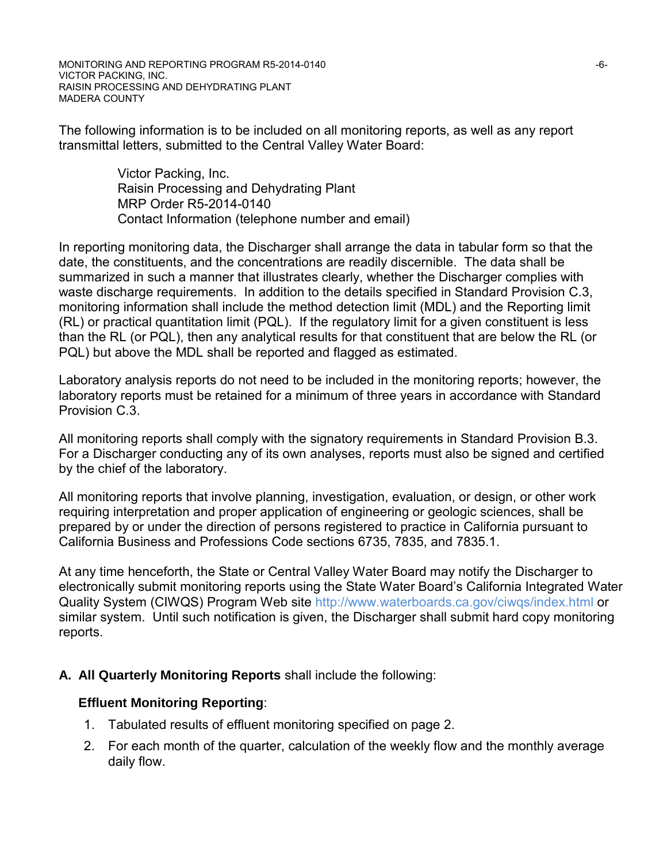The following information is to be included on all monitoring reports, as well as any report transmittal letters, submitted to the Central Valley Water Board:

> Victor Packing, Inc. Raisin Processing and Dehydrating Plant MRP Order R5-2014-0140 Contact Information (telephone number and email)

In reporting monitoring data, the Discharger shall arrange the data in tabular form so that the date, the constituents, and the concentrations are readily discernible. The data shall be summarized in such a manner that illustrates clearly, whether the Discharger complies with waste discharge requirements. In addition to the details specified in Standard Provision C.3, monitoring information shall include the method detection limit (MDL) and the Reporting limit (RL) or practical quantitation limit (PQL). If the regulatory limit for a given constituent is less than the RL (or PQL), then any analytical results for that constituent that are below the RL (or PQL) but above the MDL shall be reported and flagged as estimated.

Laboratory analysis reports do not need to be included in the monitoring reports; however, the laboratory reports must be retained for a minimum of three years in accordance with Standard Provision C.3.

All monitoring reports shall comply with the signatory requirements in Standard Provision B.3. For a Discharger conducting any of its own analyses, reports must also be signed and certified by the chief of the laboratory.

All monitoring reports that involve planning, investigation, evaluation, or design, or other work requiring interpretation and proper application of engineering or geologic sciences, shall be prepared by or under the direction of persons registered to practice in California pursuant to California Business and Professions Code sections 6735, 7835, and 7835.1.

At any time henceforth, the State or Central Valley Water Board may notify the Discharger to electronically submit monitoring reports using the State Water Board's California Integrated Water Quality System (CIWQS) Program Web site http://www.waterboards.ca.gov/ciwqs/index.html or similar system. Until such notification is given, the Discharger shall submit hard copy monitoring reports.

## **A. All Quarterly Monitoring Reports** shall include the following:

## **Effluent Monitoring Reporting**:

- 1. Tabulated results of effluent monitoring specified on page 2.
- 2. For each month of the quarter, calculation of the weekly flow and the monthly average daily flow.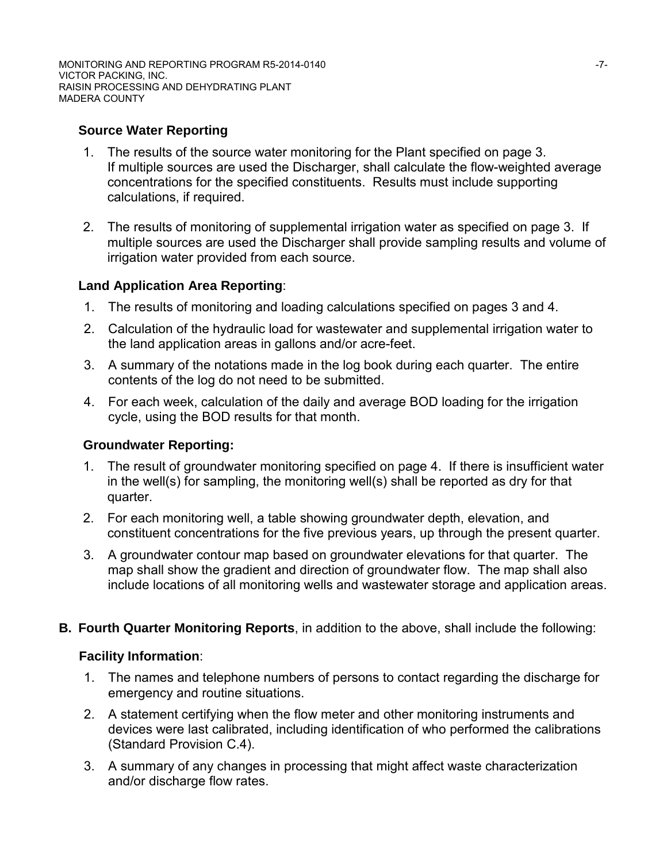MONITORING AND REPORTING PROGRAM R5-2014-0140 **For a struck of the CONITABLE 17-7-**VICTOR PACKING, INC. RAISIN PROCESSING AND DEHYDRATING PLANT MADERA COUNTY

## **Source Water Reporting**

- 1. The results of the source water monitoring for the Plant specified on page 3. If multiple sources are used the Discharger, shall calculate the flow-weighted average concentrations for the specified constituents. Results must include supporting calculations, if required.
- 2. The results of monitoring of supplemental irrigation water as specified on page 3. If multiple sources are used the Discharger shall provide sampling results and volume of irrigation water provided from each source.

## **Land Application Area Reporting**:

- 1. The results of monitoring and loading calculations specified on pages 3 and 4.
- 2. Calculation of the hydraulic load for wastewater and supplemental irrigation water to the land application areas in gallons and/or acre-feet.
- 3. A summary of the notations made in the log book during each quarter. The entire contents of the log do not need to be submitted.
- 4. For each week, calculation of the daily and average BOD loading for the irrigation cycle, using the BOD results for that month.

## **Groundwater Reporting:**

- 1. The result of groundwater monitoring specified on page 4. If there is insufficient water in the well(s) for sampling, the monitoring well(s) shall be reported as dry for that quarter.
- 2. For each monitoring well, a table showing groundwater depth, elevation, and constituent concentrations for the five previous years, up through the present quarter.
- 3. A groundwater contour map based on groundwater elevations for that quarter. The map shall show the gradient and direction of groundwater flow. The map shall also include locations of all monitoring wells and wastewater storage and application areas.
- **B. Fourth Quarter Monitoring Reports**, in addition to the above, shall include the following:

## **Facility Information**:

- 1. The names and telephone numbers of persons to contact regarding the discharge for emergency and routine situations.
- 2. A statement certifying when the flow meter and other monitoring instruments and devices were last calibrated, including identification of who performed the calibrations (Standard Provision C.4).
- 3. A summary of any changes in processing that might affect waste characterization and/or discharge flow rates.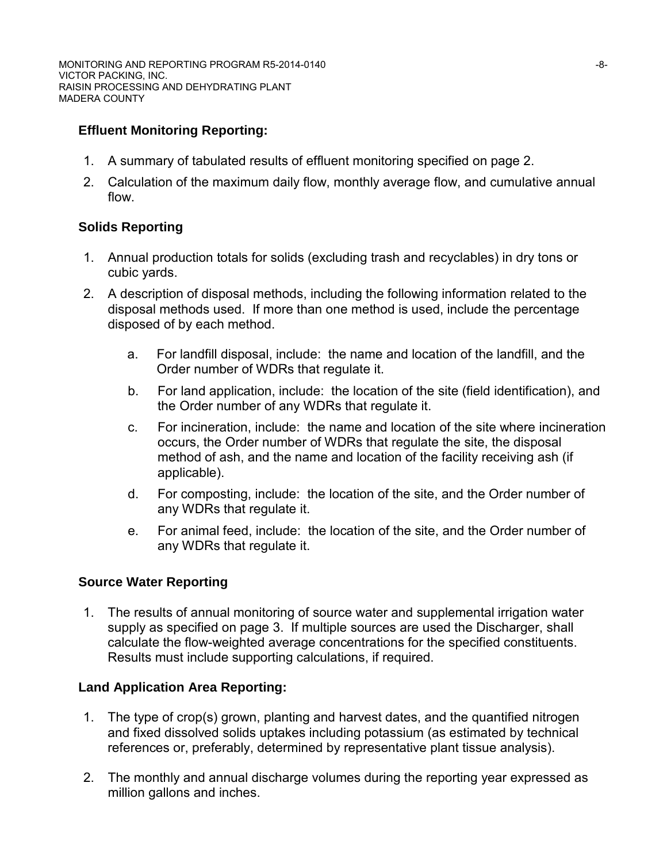# **Effluent Monitoring Reporting:**

- 1. A summary of tabulated results of effluent monitoring specified on page 2.
- 2. Calculation of the maximum daily flow, monthly average flow, and cumulative annual flow.

## **Solids Reporting**

- 1. Annual production totals for solids (excluding trash and recyclables) in dry tons or cubic yards.
- 2. A description of disposal methods, including the following information related to the disposal methods used. If more than one method is used, include the percentage disposed of by each method.
	- a. For landfill disposal, include: the name and location of the landfill, and the Order number of WDRs that regulate it.
	- b. For land application, include: the location of the site (field identification), and the Order number of any WDRs that regulate it.
	- c. For incineration, include: the name and location of the site where incineration occurs, the Order number of WDRs that regulate the site, the disposal method of ash, and the name and location of the facility receiving ash (if applicable).
	- d. For composting, include: the location of the site, and the Order number of any WDRs that regulate it.
	- e. For animal feed, include: the location of the site, and the Order number of any WDRs that regulate it.

## **Source Water Reporting**

1. The results of annual monitoring of source water and supplemental irrigation water supply as specified on page 3. If multiple sources are used the Discharger, shall calculate the flow-weighted average concentrations for the specified constituents. Results must include supporting calculations, if required.

## **Land Application Area Reporting:**

- 1. The type of crop(s) grown, planting and harvest dates, and the quantified nitrogen and fixed dissolved solids uptakes including potassium (as estimated by technical references or, preferably, determined by representative plant tissue analysis).
- 2. The monthly and annual discharge volumes during the reporting year expressed as million gallons and inches.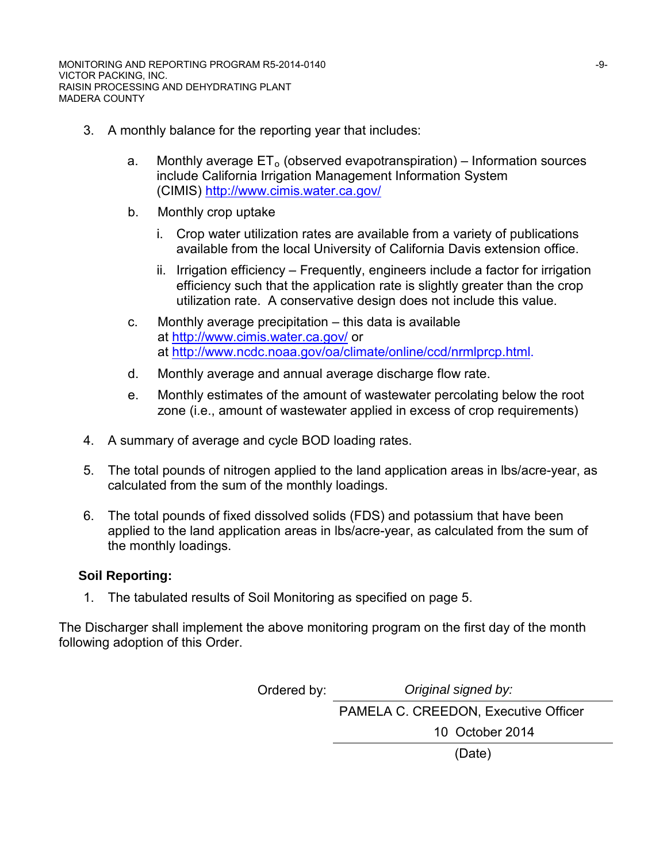- 3. A monthly balance for the reporting year that includes:
	- a. Monthly average  $ET_0$  (observed evapotranspiration) Information sources include California Irrigation Management Information System (CIMIS)<http://www.cimis.water.ca.gov/>
	- b. Monthly crop uptake
		- i. Crop water utilization rates are available from a variety of publications available from the local University of California Davis extension office.
		- ii. Irrigation efficiency Frequently, engineers include a factor for irrigation efficiency such that the application rate is slightly greater than the crop utilization rate. A conservative design does not include this value.
	- c. Monthly average precipitation this data is available at http://www.cimis.water.ca.gov/ or at http://www.ncdc.noaa.gov/oa/climate/online/ccd/nrmlprcp.html.
	- d. Monthly average and annual average discharge flow rate.
	- e. Monthly estimates of the amount of wastewater percolating below the root zone (i.e., amount of wastewater applied in excess of crop requirements)
- 4. A summary of average and cycle BOD loading rates.
- 5. The total pounds of nitrogen applied to the land application areas in lbs/acre-year, as calculated from the sum of the monthly loadings.
- 6. The total pounds of fixed dissolved solids (FDS) and potassium that have been applied to the land application areas in lbs/acre-year, as calculated from the sum of the monthly loadings.

## **Soil Reporting:**

1. The tabulated results of Soil Monitoring as specified on page 5.

The Discharger shall implement the above monitoring program on the first day of the month following adoption of this Order.

> Ordered by: *Original signed by:* PAMELA C. CREEDON, Executive Officer 10 October 2014 (Date)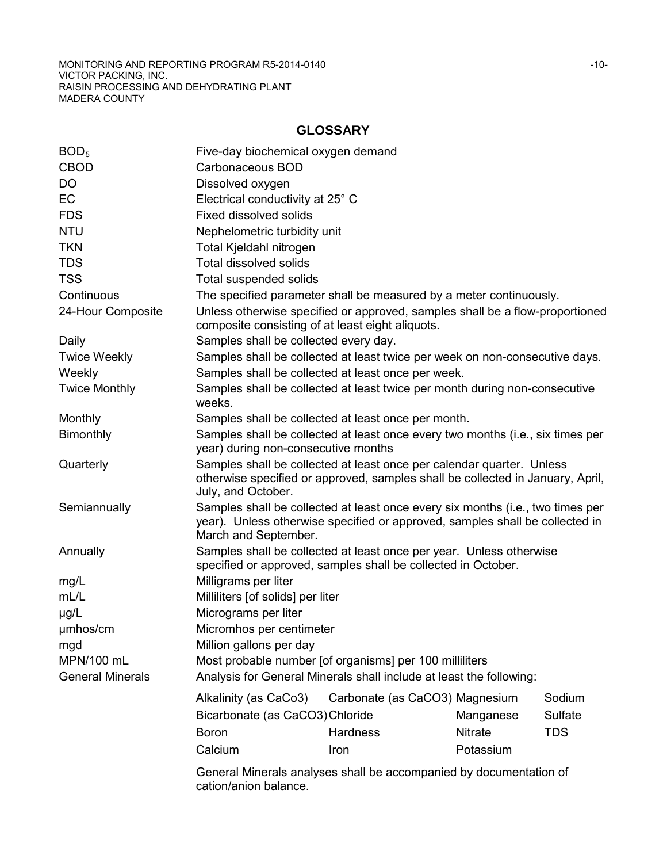MONITORING AND REPORTING PROGRAM R5-2014-0140 **CONVERTING AND REPORTING PROGRAM R5-2014-0140** VICTOR PACKING, INC. RAISIN PROCESSING AND DEHYDRATING PLANT MADERA COUNTY

## **GLOSSARY**

| BOD <sub>5</sub>        | Five-day biochemical oxygen demand                                                                                                                                                     |                                |                |            |  |  |  |
|-------------------------|----------------------------------------------------------------------------------------------------------------------------------------------------------------------------------------|--------------------------------|----------------|------------|--|--|--|
| <b>CBOD</b>             | Carbonaceous BOD                                                                                                                                                                       |                                |                |            |  |  |  |
| DO                      | Dissolved oxygen                                                                                                                                                                       |                                |                |            |  |  |  |
| <b>EC</b>               | Electrical conductivity at 25° C                                                                                                                                                       |                                |                |            |  |  |  |
| <b>FDS</b>              | Fixed dissolved solids                                                                                                                                                                 |                                |                |            |  |  |  |
| <b>NTU</b>              | Nephelometric turbidity unit                                                                                                                                                           |                                |                |            |  |  |  |
| <b>TKN</b>              | Total Kjeldahl nitrogen                                                                                                                                                                |                                |                |            |  |  |  |
| <b>TDS</b>              | <b>Total dissolved solids</b>                                                                                                                                                          |                                |                |            |  |  |  |
| <b>TSS</b>              | <b>Total suspended solids</b>                                                                                                                                                          |                                |                |            |  |  |  |
| Continuous              | The specified parameter shall be measured by a meter continuously.                                                                                                                     |                                |                |            |  |  |  |
| 24-Hour Composite       | Unless otherwise specified or approved, samples shall be a flow-proportioned<br>composite consisting of at least eight aliquots.                                                       |                                |                |            |  |  |  |
| Daily                   | Samples shall be collected every day.                                                                                                                                                  |                                |                |            |  |  |  |
| <b>Twice Weekly</b>     | Samples shall be collected at least twice per week on non-consecutive days.                                                                                                            |                                |                |            |  |  |  |
| Weekly                  | Samples shall be collected at least once per week.                                                                                                                                     |                                |                |            |  |  |  |
| <b>Twice Monthly</b>    | Samples shall be collected at least twice per month during non-consecutive<br>weeks.                                                                                                   |                                |                |            |  |  |  |
| Monthly                 | Samples shall be collected at least once per month.                                                                                                                                    |                                |                |            |  |  |  |
| Bimonthly               | Samples shall be collected at least once every two months (i.e., six times per<br>year) during non-consecutive months                                                                  |                                |                |            |  |  |  |
| Quarterly               | Samples shall be collected at least once per calendar quarter. Unless<br>otherwise specified or approved, samples shall be collected in January, April,<br>July, and October.          |                                |                |            |  |  |  |
| Semiannually            | Samples shall be collected at least once every six months (i.e., two times per<br>year). Unless otherwise specified or approved, samples shall be collected in<br>March and September. |                                |                |            |  |  |  |
| Annually                | Samples shall be collected at least once per year. Unless otherwise<br>specified or approved, samples shall be collected in October.                                                   |                                |                |            |  |  |  |
| mg/L                    | Milligrams per liter                                                                                                                                                                   |                                |                |            |  |  |  |
| mL/L                    | Milliliters [of solids] per liter                                                                                                                                                      |                                |                |            |  |  |  |
| $\mu$ g/L               | Micrograms per liter                                                                                                                                                                   |                                |                |            |  |  |  |
| umhos/cm                | Micromhos per centimeter                                                                                                                                                               |                                |                |            |  |  |  |
| mgd                     | Million gallons per day                                                                                                                                                                |                                |                |            |  |  |  |
| MPN/100 mL              | Most probable number [of organisms] per 100 milliliters                                                                                                                                |                                |                |            |  |  |  |
| <b>General Minerals</b> | Analysis for General Minerals shall include at least the following:                                                                                                                    |                                |                |            |  |  |  |
|                         | Alkalinity (as CaCo3)                                                                                                                                                                  | Carbonate (as CaCO3) Magnesium |                | Sodium     |  |  |  |
|                         | Bicarbonate (as CaCO3) Chloride                                                                                                                                                        |                                | Manganese      | Sulfate    |  |  |  |
|                         | <b>Boron</b>                                                                                                                                                                           | <b>Hardness</b>                | <b>Nitrate</b> | <b>TDS</b> |  |  |  |
|                         | Calcium                                                                                                                                                                                | Iron                           | Potassium      |            |  |  |  |
|                         |                                                                                                                                                                                        |                                |                |            |  |  |  |
|                         | General Minerals analyses shall be accompanied by documentation of<br>cation/anion balance.                                                                                            |                                |                |            |  |  |  |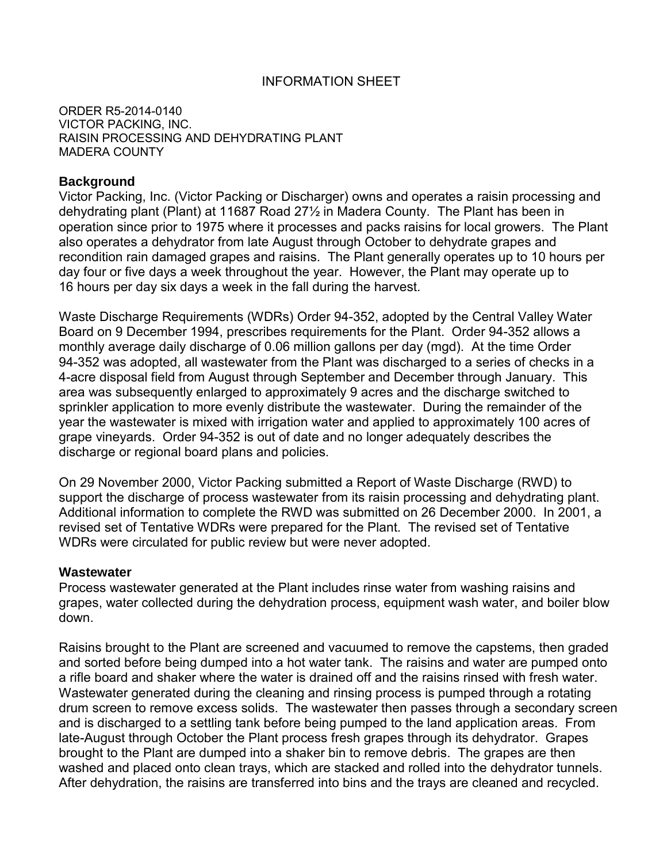### INFORMATION SHEET

ORDER R5-2014-0140 VICTOR PACKING, INC. RAISIN PROCESSING AND DEHYDRATING PLANT MADERA COUNTY

#### **Background**

Victor Packing, Inc. (Victor Packing or Discharger) owns and operates a raisin processing and dehydrating plant (Plant) at 11687 Road 27½ in Madera County. The Plant has been in operation since prior to 1975 where it processes and packs raisins for local growers. The Plant also operates a dehydrator from late August through October to dehydrate grapes and recondition rain damaged grapes and raisins. The Plant generally operates up to 10 hours per day four or five days a week throughout the year. However, the Plant may operate up to 16 hours per day six days a week in the fall during the harvest.

Waste Discharge Requirements (WDRs) Order 94-352, adopted by the Central Valley Water Board on 9 December 1994, prescribes requirements for the Plant. Order 94-352 allows a monthly average daily discharge of 0.06 million gallons per day (mgd). At the time Order 94-352 was adopted, all wastewater from the Plant was discharged to a series of checks in a 4-acre disposal field from August through September and December through January. This area was subsequently enlarged to approximately 9 acres and the discharge switched to sprinkler application to more evenly distribute the wastewater. During the remainder of the year the wastewater is mixed with irrigation water and applied to approximately 100 acres of grape vineyards. Order 94-352 is out of date and no longer adequately describes the discharge or regional board plans and policies.

On 29 November 2000, Victor Packing submitted a Report of Waste Discharge (RWD) to support the discharge of process wastewater from its raisin processing and dehydrating plant. Additional information to complete the RWD was submitted on 26 December 2000. In 2001, a revised set of Tentative WDRs were prepared for the Plant. The revised set of Tentative WDRs were circulated for public review but were never adopted.

#### **Wastewater**

Process wastewater generated at the Plant includes rinse water from washing raisins and grapes, water collected during the dehydration process, equipment wash water, and boiler blow down.

Raisins brought to the Plant are screened and vacuumed to remove the capstems, then graded and sorted before being dumped into a hot water tank. The raisins and water are pumped onto a rifle board and shaker where the water is drained off and the raisins rinsed with fresh water. Wastewater generated during the cleaning and rinsing process is pumped through a rotating drum screen to remove excess solids. The wastewater then passes through a secondary screen and is discharged to a settling tank before being pumped to the land application areas. From late-August through October the Plant process fresh grapes through its dehydrator. Grapes brought to the Plant are dumped into a shaker bin to remove debris. The grapes are then washed and placed onto clean trays, which are stacked and rolled into the dehydrator tunnels. After dehydration, the raisins are transferred into bins and the trays are cleaned and recycled.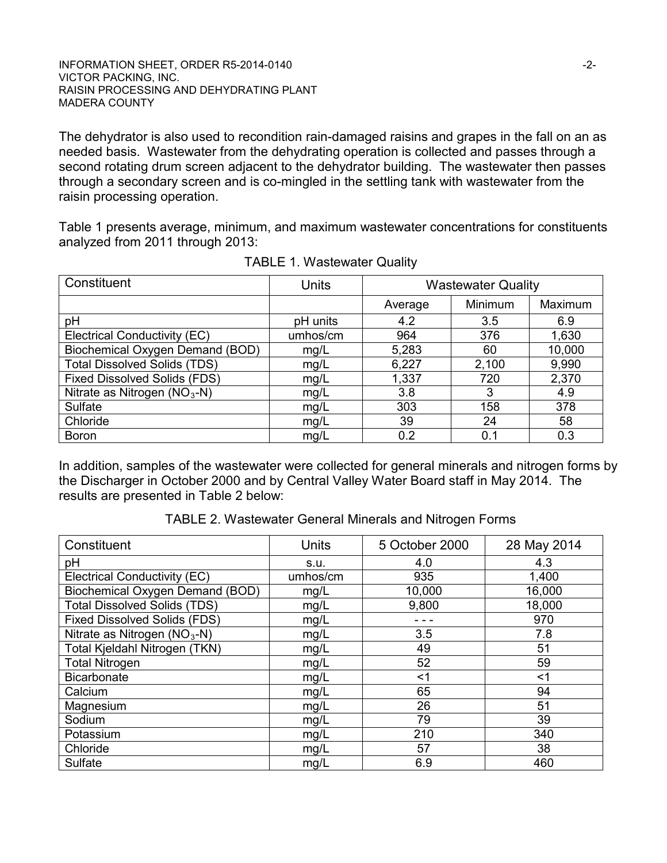The dehydrator is also used to recondition rain-damaged raisins and grapes in the fall on an as needed basis. Wastewater from the dehydrating operation is collected and passes through a second rotating drum screen adjacent to the dehydrator building. The wastewater then passes through a secondary screen and is co-mingled in the settling tank with wastewater from the raisin processing operation.

Table 1 presents average, minimum, and maximum wastewater concentrations for constituents analyzed from 2011 through 2013:

| Constituent                         | <b>Units</b> | <b>Wastewater Quality</b> |         |         |  |
|-------------------------------------|--------------|---------------------------|---------|---------|--|
|                                     |              | Average                   | Minimum | Maximum |  |
| рH                                  | pH units     | 4.2                       | 3.5     | 6.9     |  |
| Electrical Conductivity (EC)        | umhos/cm     | 964                       | 376     | 1,630   |  |
| Biochemical Oxygen Demand (BOD)     | mg/L         | 5,283                     | 60      | 10,000  |  |
| <b>Total Dissolved Solids (TDS)</b> | mg/L         | 6,227                     | 2,100   | 9,990   |  |
| <b>Fixed Dissolved Solids (FDS)</b> | mg/L         | 1,337                     | 720     | 2,370   |  |
| Nitrate as Nitrogen $(NO3-N)$       | mg/L         | 3.8                       | 3       | 4.9     |  |
| Sulfate                             | mg/L         | 303                       | 158     | 378     |  |
| Chloride                            | mg/L         | 39                        | 24      | 58      |  |
| <b>Boron</b>                        | mg/L         | 0.2                       | 0.1     | 0.3     |  |

TABLE 1. Wastewater Quality

In addition, samples of the wastewater were collected for general minerals and nitrogen forms by the Discharger in October 2000 and by Central Valley Water Board staff in May 2014. The results are presented in Table 2 below:

TABLE 2. Wastewater General Minerals and Nitrogen Forms

| Constituent                              | <b>Units</b> | 5 October 2000 | 28 May 2014 |  |
|------------------------------------------|--------------|----------------|-------------|--|
| рH                                       | S.U.         | 4.0            | 4.3         |  |
| Electrical Conductivity (EC)             | umhos/cm     | 935            | 1,400       |  |
| Biochemical Oxygen Demand (BOD)          | mg/L         | 10,000         | 16,000      |  |
| <b>Total Dissolved Solids (TDS)</b>      | mg/L         | 9,800          | 18,000      |  |
| <b>Fixed Dissolved Solids (FDS)</b>      | mg/L         |                | 970         |  |
| Nitrate as Nitrogen (NO <sub>3</sub> -N) | mg/L         | 3.5            | 7.8         |  |
| Total Kjeldahl Nitrogen (TKN)            | mg/L         | 49             | 51          |  |
| <b>Total Nitrogen</b>                    | mg/L         | 52             | 59          |  |
| <b>Bicarbonate</b>                       | mg/L         | $<$ 1          | $<$ 1       |  |
| Calcium                                  | mg/L         | 65             | 94          |  |
| Magnesium                                | mg/L         | 26             | 51          |  |
| Sodium                                   | mg/L         | 79             | 39          |  |
| Potassium                                | mg/L         | 210            | 340         |  |
| Chloride                                 | mg/L         | 57             | 38          |  |
| Sulfate                                  | mg/L         | 6.9            | 460         |  |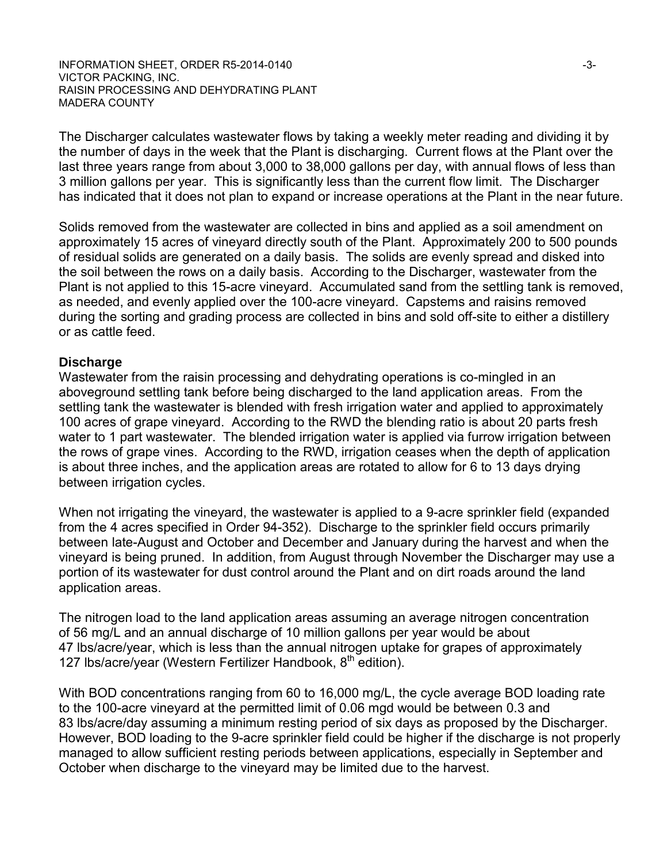The Discharger calculates wastewater flows by taking a weekly meter reading and dividing it by the number of days in the week that the Plant is discharging. Current flows at the Plant over the last three years range from about 3,000 to 38,000 gallons per day, with annual flows of less than 3 million gallons per year. This is significantly less than the current flow limit. The Discharger has indicated that it does not plan to expand or increase operations at the Plant in the near future.

Solids removed from the wastewater are collected in bins and applied as a soil amendment on approximately 15 acres of vineyard directly south of the Plant. Approximately 200 to 500 pounds of residual solids are generated on a daily basis. The solids are evenly spread and disked into the soil between the rows on a daily basis. According to the Discharger, wastewater from the Plant is not applied to this 15-acre vineyard. Accumulated sand from the settling tank is removed, as needed, and evenly applied over the 100-acre vineyard. Capstems and raisins removed during the sorting and grading process are collected in bins and sold off-site to either a distillery or as cattle feed.

#### **Discharge**

Wastewater from the raisin processing and dehydrating operations is co-mingled in an aboveground settling tank before being discharged to the land application areas. From the settling tank the wastewater is blended with fresh irrigation water and applied to approximately 100 acres of grape vineyard. According to the RWD the blending ratio is about 20 parts fresh water to 1 part wastewater. The blended irrigation water is applied via furrow irrigation between the rows of grape vines. According to the RWD, irrigation ceases when the depth of application is about three inches, and the application areas are rotated to allow for 6 to 13 days drying between irrigation cycles.

When not irrigating the vineyard, the wastewater is applied to a 9-acre sprinkler field (expanded from the 4 acres specified in Order 94-352). Discharge to the sprinkler field occurs primarily between late-August and October and December and January during the harvest and when the vineyard is being pruned. In addition, from August through November the Discharger may use a portion of its wastewater for dust control around the Plant and on dirt roads around the land application areas.

The nitrogen load to the land application areas assuming an average nitrogen concentration of 56 mg/L and an annual discharge of 10 million gallons per year would be about 47 lbs/acre/year, which is less than the annual nitrogen uptake for grapes of approximately 127 Ibs/acre/year (Western Fertilizer Handbook, 8<sup>th</sup> edition).

With BOD concentrations ranging from 60 to 16,000 mg/L, the cycle average BOD loading rate to the 100-acre vineyard at the permitted limit of 0.06 mgd would be between 0.3 and 83 lbs/acre/day assuming a minimum resting period of six days as proposed by the Discharger. However, BOD loading to the 9-acre sprinkler field could be higher if the discharge is not properly managed to allow sufficient resting periods between applications, especially in September and October when discharge to the vineyard may be limited due to the harvest.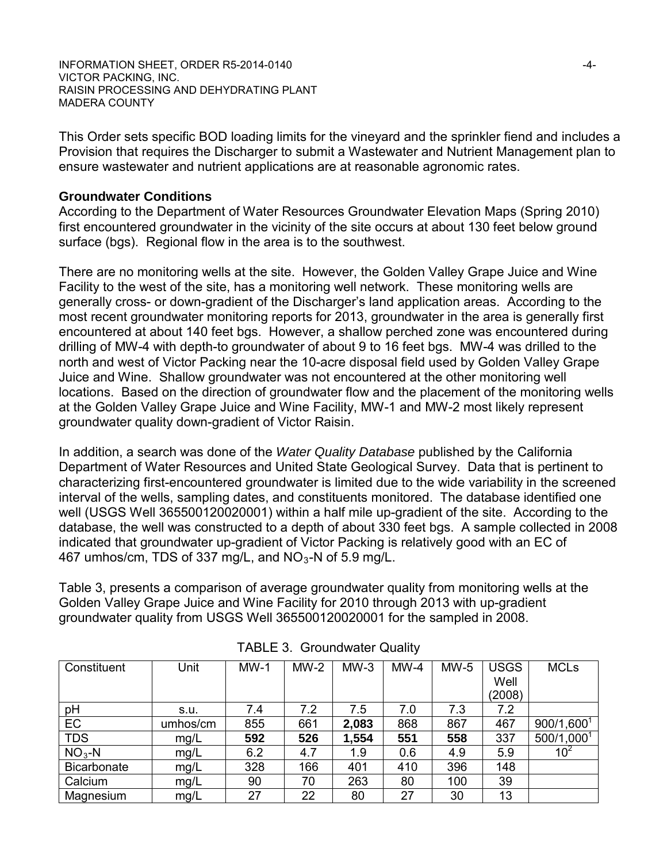INFORMATION SHEET, ORDER R5-2014-0140 **For all any of the CONTROL** VICTOR PACKING, INC. RAISIN PROCESSING AND DEHYDRATING PLANT MADERA COUNTY

This Order sets specific BOD loading limits for the vineyard and the sprinkler fiend and includes a Provision that requires the Discharger to submit a Wastewater and Nutrient Management plan to ensure wastewater and nutrient applications are at reasonable agronomic rates.

#### **Groundwater Conditions**

According to the Department of Water Resources Groundwater Elevation Maps (Spring 2010) first encountered groundwater in the vicinity of the site occurs at about 130 feet below ground surface (bgs). Regional flow in the area is to the southwest.

There are no monitoring wells at the site. However, the Golden Valley Grape Juice and Wine Facility to the west of the site, has a monitoring well network. These monitoring wells are generally cross- or down-gradient of the Discharger's land application areas. According to the most recent groundwater monitoring reports for 2013, groundwater in the area is generally first encountered at about 140 feet bgs. However, a shallow perched zone was encountered during drilling of MW-4 with depth-to groundwater of about 9 to 16 feet bgs. MW-4 was drilled to the north and west of Victor Packing near the 10-acre disposal field used by Golden Valley Grape Juice and Wine. Shallow groundwater was not encountered at the other monitoring well locations. Based on the direction of groundwater flow and the placement of the monitoring wells at the Golden Valley Grape Juice and Wine Facility, MW-1 and MW-2 most likely represent groundwater quality down-gradient of Victor Raisin.

In addition, a search was done of the *Water Quality Database* published by the California Department of Water Resources and United State Geological Survey. Data that is pertinent to characterizing first-encountered groundwater is limited due to the wide variability in the screened interval of the wells, sampling dates, and constituents monitored. The database identified one well (USGS Well 365500120020001) within a half mile up-gradient of the site. According to the database, the well was constructed to a depth of about 330 feet bgs. A sample collected in 2008 indicated that groundwater up-gradient of Victor Packing is relatively good with an EC of 467 umhos/cm, TDS of 337 mg/L, and  $NO<sub>3</sub>$ -N of 5.9 mg/L.

Table 3, presents a comparison of average groundwater quality from monitoring wells at the Golden Valley Grape Juice and Wine Facility for 2010 through 2013 with up-gradient groundwater quality from USGS Well 365500120020001 for the sampled in 2008.

| Constituent        | Unit     | $MW-1$ | $MW-2$ | $MW-3$ | $MW-4$ | $MW-5$ | <b>USGS</b> | <b>MCLs</b>            |
|--------------------|----------|--------|--------|--------|--------|--------|-------------|------------------------|
|                    |          |        |        |        |        |        | Well        |                        |
|                    |          |        |        |        |        |        | (2008)      |                        |
| pH                 | s.u.     | 7.4    | 7.2    | 7.5    | 7.0    | 7.3    | 7.2         |                        |
| EC                 | umhos/cm | 855    | 661    | 2,083  | 868    | 867    | 467         | 900/1,600 <sup>1</sup> |
| <b>TDS</b>         | mg/L     | 592    | 526    | 1,554  | 551    | 558    | 337         | 500/1,0001             |
| $NO3-N$            | mg/L     | 6.2    | 4.7    | 1.9    | 0.6    | 4.9    | 5.9         | 10 <sup>2</sup>        |
| <b>Bicarbonate</b> | mg/L     | 328    | 166    | 401    | 410    | 396    | 148         |                        |
| Calcium            | mg/L     | 90     | 70     | 263    | 80     | 100    | 39          |                        |
| Magnesium          | mg/L     | 27     | 22     | 80     | 27     | 30     | 13          |                        |

TABLE 3. Groundwater Quality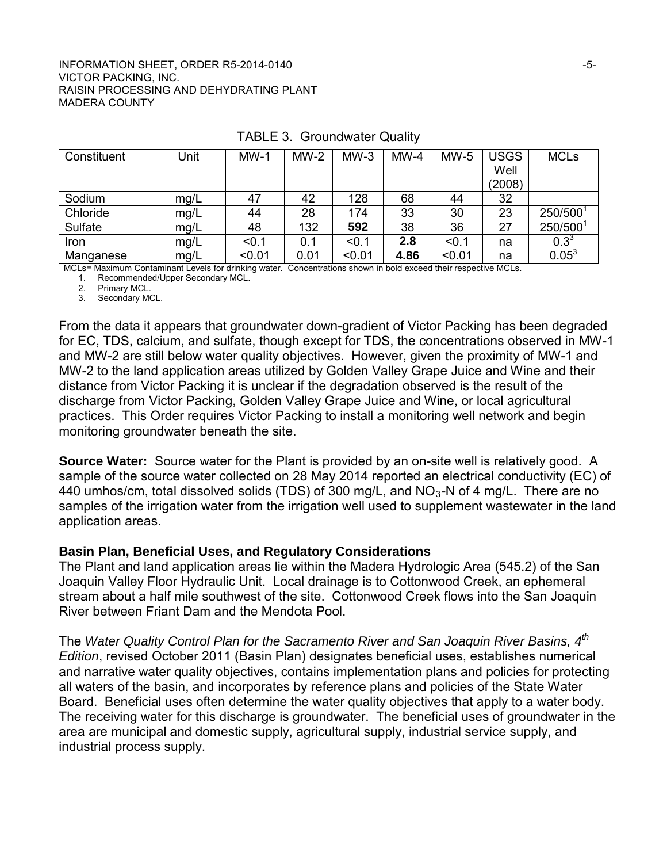#### INFORMATION SHEET, ORDER R5-2014-0140 **For a strategy of the strategy of the strategy of the strategy of the strategy of the strategy of the strategy of the strategy of the strategy of the strategy of the strategy of the s** VICTOR PACKING, INC. RAISIN PROCESSING AND DEHYDRATING PLANT MADERA COUNTY

| Constituent | Unit | $MW-1$ | $MW-2$ | $MW-3$ | $MW-4$ | $MW-5$ | <b>USGS</b> | <b>MCLs</b> |
|-------------|------|--------|--------|--------|--------|--------|-------------|-------------|
|             |      |        |        |        |        |        | Well        |             |
|             |      |        |        |        |        |        | (2008)      |             |
| Sodium      | mg/L | 47     | 42     | 128    | 68     | 44     | 32          |             |
| Chloride    | mg/L | 44     | 28     | 174    | 33     | 30     | 23          | 250/5001    |
| Sulfate     | mg/L | 48     | 132    | 592    | 38     | 36     | 27          | 250/5001    |
| Iron        | mq/L | < 0.1  | 0.1    | < 0.1  | 2.8    | < 0.1  | na          | $0.3^{3}$   |
| Manganese   | mg/L | < 0.01 | 0.01   | < 0.01 | 4.86   | < 0.01 | na          | $0.05^3$    |

#### TABLE 3. Groundwater Quality

MCLs= Maximum Contaminant Levels for drinking water. Concentrations shown in bold exceed their respective MCLs.

1. Recommended/Upper Secondary MCL.

2. Primary MCL.

3. Secondary MCL.

From the data it appears that groundwater down-gradient of Victor Packing has been degraded for EC, TDS, calcium, and sulfate, though except for TDS, the concentrations observed in MW-1 and MW-2 are still below water quality objectives. However, given the proximity of MW-1 and MW-2 to the land application areas utilized by Golden Valley Grape Juice and Wine and their distance from Victor Packing it is unclear if the degradation observed is the result of the discharge from Victor Packing, Golden Valley Grape Juice and Wine, or local agricultural practices. This Order requires Victor Packing to install a monitoring well network and begin monitoring groundwater beneath the site.

**Source Water:** Source water for the Plant is provided by an on-site well is relatively good. A sample of the source water collected on 28 May 2014 reported an electrical conductivity (EC) of 440 umhos/cm, total dissolved solids (TDS) of 300 mg/L, and  $NO<sub>3</sub>$ -N of 4 mg/L. There are no samples of the irrigation water from the irrigation well used to supplement wastewater in the land application areas.

#### **Basin Plan, Beneficial Uses, and Regulatory Considerations**

The Plant and land application areas lie within the Madera Hydrologic Area (545.2) of the San Joaquin Valley Floor Hydraulic Unit. Local drainage is to Cottonwood Creek, an ephemeral stream about a half mile southwest of the site. Cottonwood Creek flows into the San Joaquin River between Friant Dam and the Mendota Pool.

The *Water Quality Control Plan for the Sacramento River and San Joaquin River Basins, 4th Edition*, revised October 2011 (Basin Plan) designates beneficial uses, establishes numerical and narrative water quality objectives, contains implementation plans and policies for protecting all waters of the basin, and incorporates by reference plans and policies of the State Water Board. Beneficial uses often determine the water quality objectives that apply to a water body. The receiving water for this discharge is groundwater. The beneficial uses of groundwater in the area are municipal and domestic supply, agricultural supply, industrial service supply, and industrial process supply.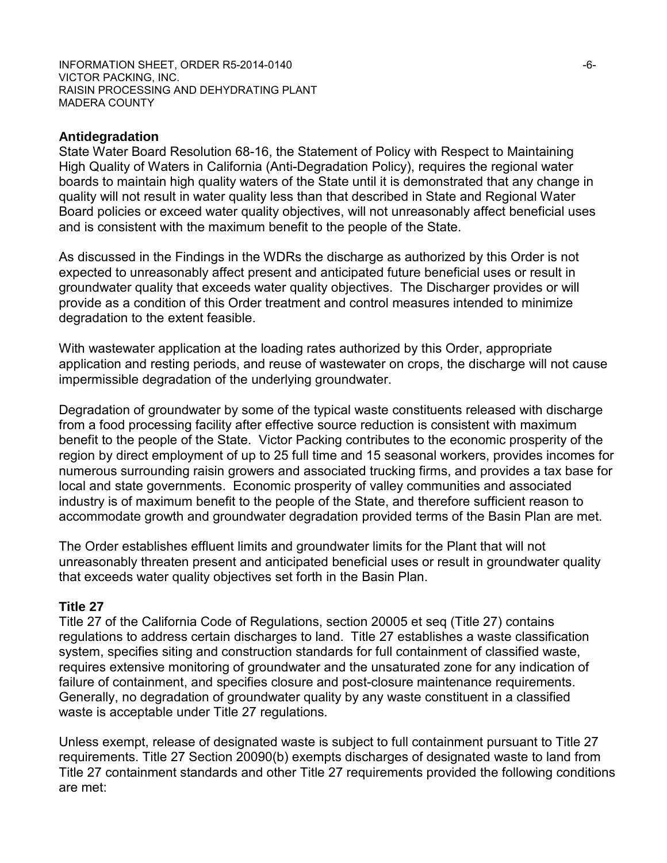INFORMATION SHEET, ORDER R5-2014-0140 **For a strategy of the strategy of the strategy of the strategy of the strategy of the strategy of the strategy of the strategy of the strategy of the strategy of the strategy of the s** VICTOR PACKING, INC. RAISIN PROCESSING AND DEHYDRATING PLANT MADERA COUNTY

#### **Antidegradation**

State Water Board Resolution 68-16, the Statement of Policy with Respect to Maintaining High Quality of Waters in California (Anti-Degradation Policy), requires the regional water boards to maintain high quality waters of the State until it is demonstrated that any change in quality will not result in water quality less than that described in State and Regional Water Board policies or exceed water quality objectives, will not unreasonably affect beneficial uses and is consistent with the maximum benefit to the people of the State.

As discussed in the Findings in the WDRs the discharge as authorized by this Order is not expected to unreasonably affect present and anticipated future beneficial uses or result in groundwater quality that exceeds water quality objectives. The Discharger provides or will provide as a condition of this Order treatment and control measures intended to minimize degradation to the extent feasible.

With wastewater application at the loading rates authorized by this Order, appropriate application and resting periods, and reuse of wastewater on crops, the discharge will not cause impermissible degradation of the underlying groundwater.

Degradation of groundwater by some of the typical waste constituents released with discharge from a food processing facility after effective source reduction is consistent with maximum benefit to the people of the State. Victor Packing contributes to the economic prosperity of the region by direct employment of up to 25 full time and 15 seasonal workers, provides incomes for numerous surrounding raisin growers and associated trucking firms, and provides a tax base for local and state governments. Economic prosperity of valley communities and associated industry is of maximum benefit to the people of the State, and therefore sufficient reason to accommodate growth and groundwater degradation provided terms of the Basin Plan are met.

The Order establishes effluent limits and groundwater limits for the Plant that will not unreasonably threaten present and anticipated beneficial uses or result in groundwater quality that exceeds water quality objectives set forth in the Basin Plan.

#### **Title 27**

Title 27 of the California Code of Regulations, section 20005 et seq (Title 27) contains regulations to address certain discharges to land. Title 27 establishes a waste classification system, specifies siting and construction standards for full containment of classified waste, requires extensive monitoring of groundwater and the unsaturated zone for any indication of failure of containment, and specifies closure and post-closure maintenance requirements. Generally, no degradation of groundwater quality by any waste constituent in a classified waste is acceptable under Title 27 regulations.

Unless exempt, release of designated waste is subject to full containment pursuant to Title 27 requirements. Title 27 Section 20090(b) exempts discharges of designated waste to land from Title 27 containment standards and other Title 27 requirements provided the following conditions are met: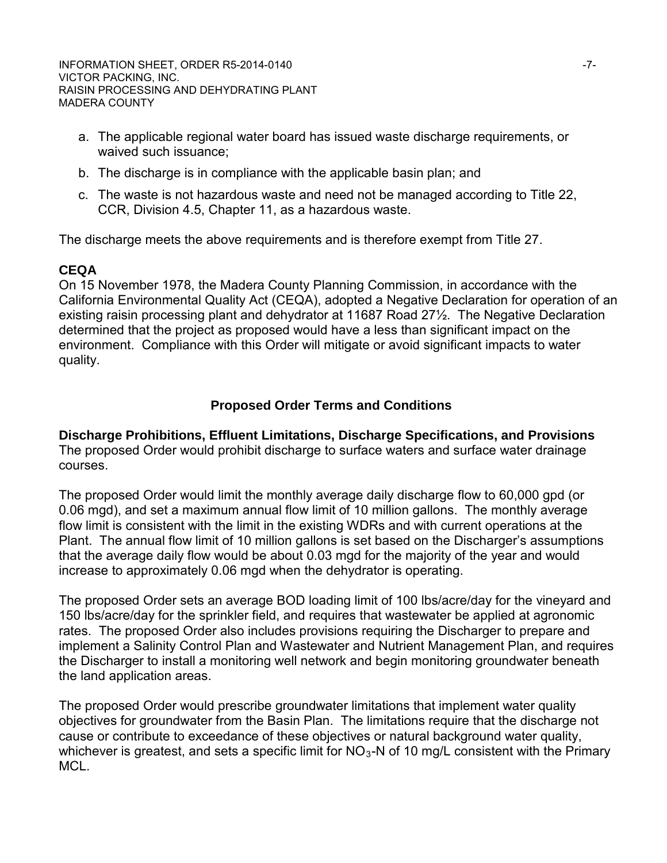INFORMATION SHEET, ORDER R5-2014-0140 **For all analysis of the COVID-17-** T-7-VICTOR PACKING, INC. RAISIN PROCESSING AND DEHYDRATING PLANT MADERA COUNTY

- a. The applicable regional water board has issued waste discharge requirements, or waived such issuance;
- b. The discharge is in compliance with the applicable basin plan; and
- c. The waste is not hazardous waste and need not be managed according to Title 22, CCR, Division 4.5, Chapter 11, as a hazardous waste.

The discharge meets the above requirements and is therefore exempt from Title 27.

## **CEQA**

On 15 November 1978, the Madera County Planning Commission, in accordance with the California Environmental Quality Act (CEQA), adopted a Negative Declaration for operation of an existing raisin processing plant and dehydrator at 11687 Road 27½. The Negative Declaration determined that the project as proposed would have a less than significant impact on the environment. Compliance with this Order will mitigate or avoid significant impacts to water quality.

## **Proposed Order Terms and Conditions**

**Discharge Prohibitions, Effluent Limitations, Discharge Specifications, and Provisions** The proposed Order would prohibit discharge to surface waters and surface water drainage courses.

The proposed Order would limit the monthly average daily discharge flow to 60,000 gpd (or 0.06 mgd), and set a maximum annual flow limit of 10 million gallons. The monthly average flow limit is consistent with the limit in the existing WDRs and with current operations at the Plant. The annual flow limit of 10 million gallons is set based on the Discharger's assumptions that the average daily flow would be about 0.03 mgd for the majority of the year and would increase to approximately 0.06 mgd when the dehydrator is operating.

The proposed Order sets an average BOD loading limit of 100 lbs/acre/day for the vineyard and 150 lbs/acre/day for the sprinkler field, and requires that wastewater be applied at agronomic rates. The proposed Order also includes provisions requiring the Discharger to prepare and implement a Salinity Control Plan and Wastewater and Nutrient Management Plan, and requires the Discharger to install a monitoring well network and begin monitoring groundwater beneath the land application areas.

The proposed Order would prescribe groundwater limitations that implement water quality objectives for groundwater from the Basin Plan. The limitations require that the discharge not cause or contribute to exceedance of these objectives or natural background water quality, whichever is greatest, and sets a specific limit for  $NO<sub>3</sub>-N$  of 10 mg/L consistent with the Primary MCL.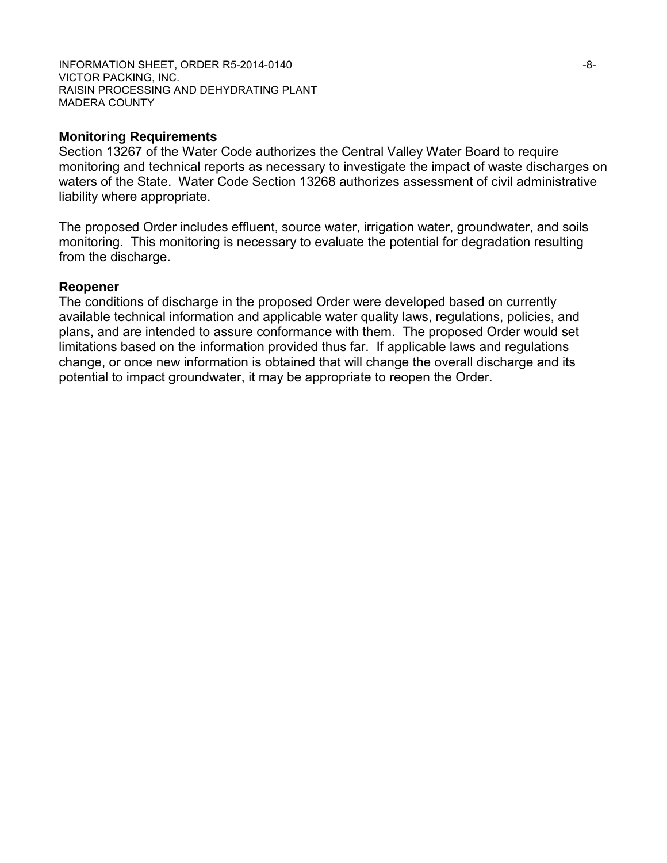INFORMATION SHEET, ORDER R5-2014-0140 **For all and the set of the set of the set of the set of the set of the set of the set of the set of the set of the set of the set of the set of the set of the set of the set of the se** VICTOR PACKING, INC. RAISIN PROCESSING AND DEHYDRATING PLANT MADERA COUNTY

#### **Monitoring Requirements**

Section 13267 of the Water Code authorizes the Central Valley Water Board to require monitoring and technical reports as necessary to investigate the impact of waste discharges on waters of the State. Water Code Section 13268 authorizes assessment of civil administrative liability where appropriate.

The proposed Order includes effluent, source water, irrigation water, groundwater, and soils monitoring. This monitoring is necessary to evaluate the potential for degradation resulting from the discharge.

#### **Reopener**

The conditions of discharge in the proposed Order were developed based on currently available technical information and applicable water quality laws, regulations, policies, and plans, and are intended to assure conformance with them. The proposed Order would set limitations based on the information provided thus far. If applicable laws and regulations change, or once new information is obtained that will change the overall discharge and its potential to impact groundwater, it may be appropriate to reopen the Order.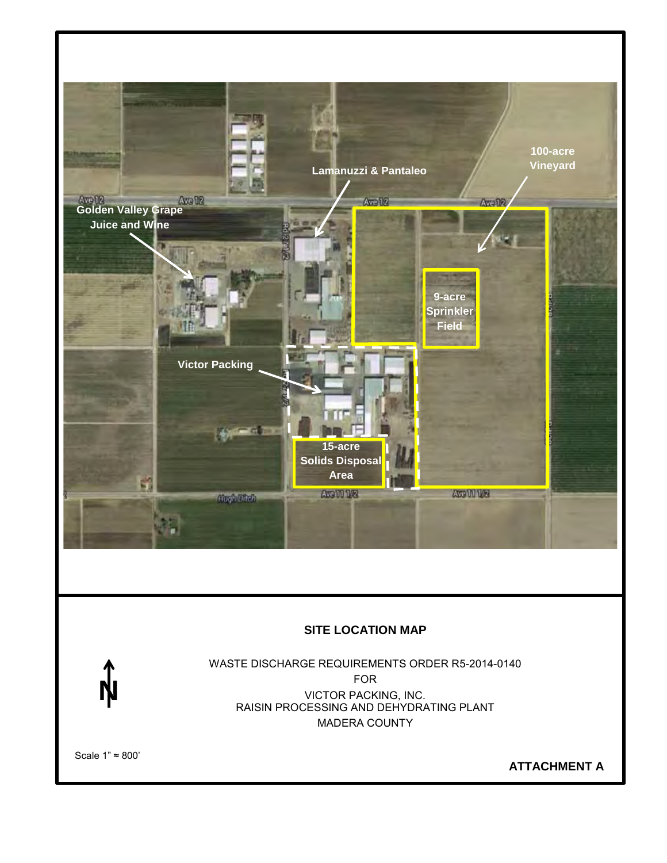

## **SITE LOCATION MAP**



WASTE DISCHARGE REQUIREMENTS ORDER R5-2014-0140 FOR VICTOR PACKING, INC. RAISIN PROCESSING AND DEHYDRATING PLANT MADERA COUNTY

Scale 1" ≈ 800'

**ATTACHMENT A**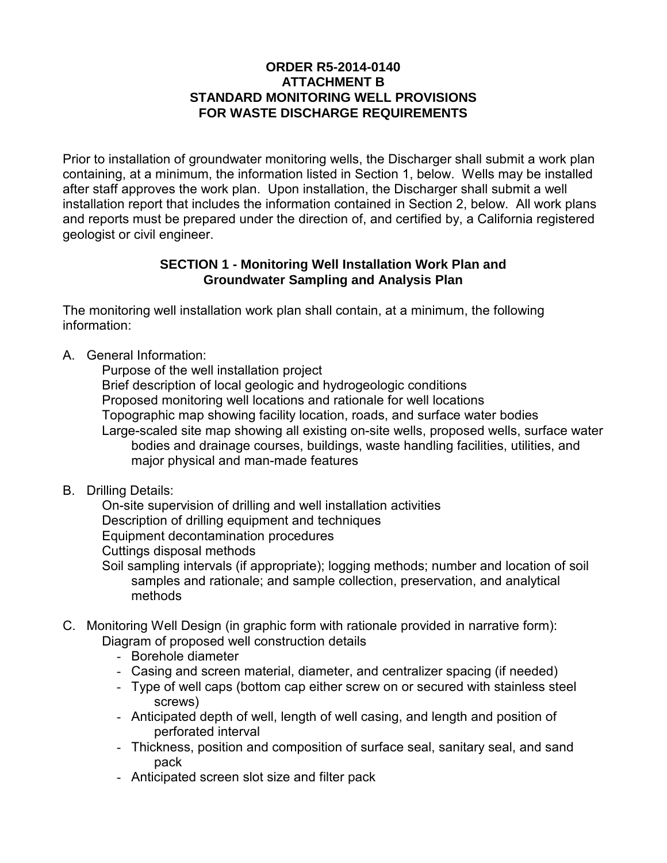## **ORDER R5-2014-0140 ATTACHMENT B STANDARD MONITORING WELL PROVISIONS FOR WASTE DISCHARGE REQUIREMENTS**

Prior to installation of groundwater monitoring wells, the Discharger shall submit a work plan containing, at a minimum, the information listed in Section 1, below. Wells may be installed after staff approves the work plan. Upon installation, the Discharger shall submit a well installation report that includes the information contained in Section 2, below. All work plans and reports must be prepared under the direction of, and certified by, a California registered geologist or civil engineer.

## **SECTION 1 - Monitoring Well Installation Work Plan and Groundwater Sampling and Analysis Plan**

The monitoring well installation work plan shall contain, at a minimum, the following information:

A. General Information:

 Purpose of the well installation project Brief description of local geologic and hydrogeologic conditions Proposed monitoring well locations and rationale for well locations Topographic map showing facility location, roads, and surface water bodies Large-scaled site map showing all existing on-site wells, proposed wells, surface water bodies and drainage courses, buildings, waste handling facilities, utilities, and major physical and man-made features

B. Drilling Details:

 On-site supervision of drilling and well installation activities Description of drilling equipment and techniques Equipment decontamination procedures Cuttings disposal methods

- Soil sampling intervals (if appropriate); logging methods; number and location of soil samples and rationale; and sample collection, preservation, and analytical methods
- C. Monitoring Well Design (in graphic form with rationale provided in narrative form): Diagram of proposed well construction details
	- Borehole diameter
	- Casing and screen material, diameter, and centralizer spacing (if needed)
	- Type of well caps (bottom cap either screw on or secured with stainless steel screws)
	- Anticipated depth of well, length of well casing, and length and position of perforated interval
	- Thickness, position and composition of surface seal, sanitary seal, and sand pack
	- Anticipated screen slot size and filter pack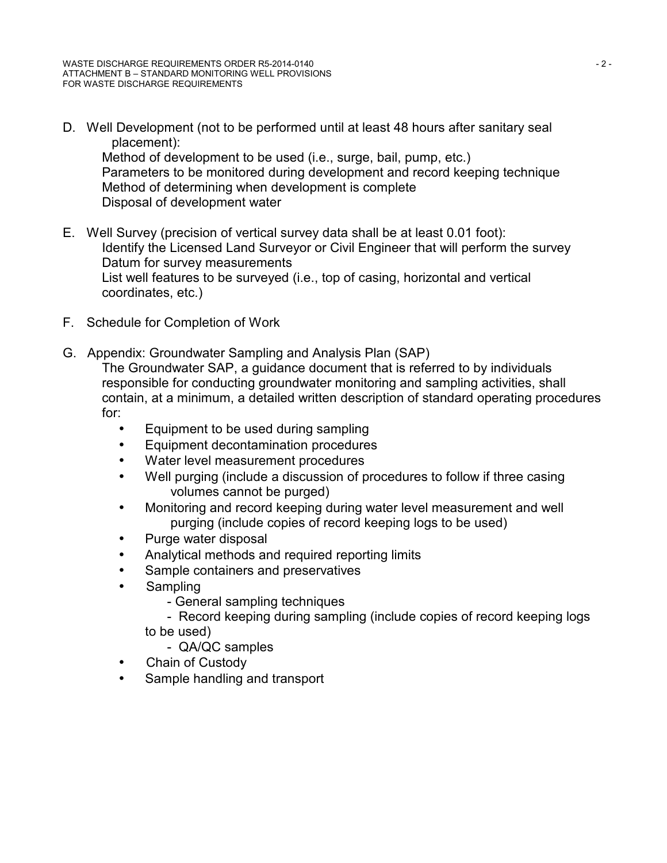D. Well Development (not to be performed until at least 48 hours after sanitary seal placement): Method of development to be used (i.e., surge, bail, pump, etc.) Parameters to be monitored during development and record keeping technique Method of determining when development is complete

Disposal of development water

- E. Well Survey (precision of vertical survey data shall be at least 0.01 foot): Identify the Licensed Land Surveyor or Civil Engineer that will perform the survey Datum for survey measurements List well features to be surveyed (i.e., top of casing, horizontal and vertical coordinates, etc.)
- F. Schedule for Completion of Work
- G. Appendix: Groundwater Sampling and Analysis Plan (SAP) The Groundwater SAP, a guidance document that is referred to by individuals responsible for conducting groundwater monitoring and sampling activities, shall contain, at a minimum, a detailed written description of standard operating procedures for:
	- Equipment to be used during sampling  $\mathbf{r}$
	- Equipment decontamination procedures ä,
	- Water level measurement procedures
	- Well purging (include a discussion of procedures to follow if three casing ÷. volumes cannot be purged)
	- Monitoring and record keeping during water level measurement and well  $\mathbf{r}$ purging (include copies of record keeping logs to be used)
	- Purge water disposal
	- Analytical methods and required reporting limits ä,
	- Sample containers and preservatives  $\blacksquare$
	- **Sampling** 
		- General sampling techniques
		- Record keeping during sampling (include copies of record keeping logs to be used)
			- QA/QC samples
	- Chain of Custody ä,
	- Sample handling and transport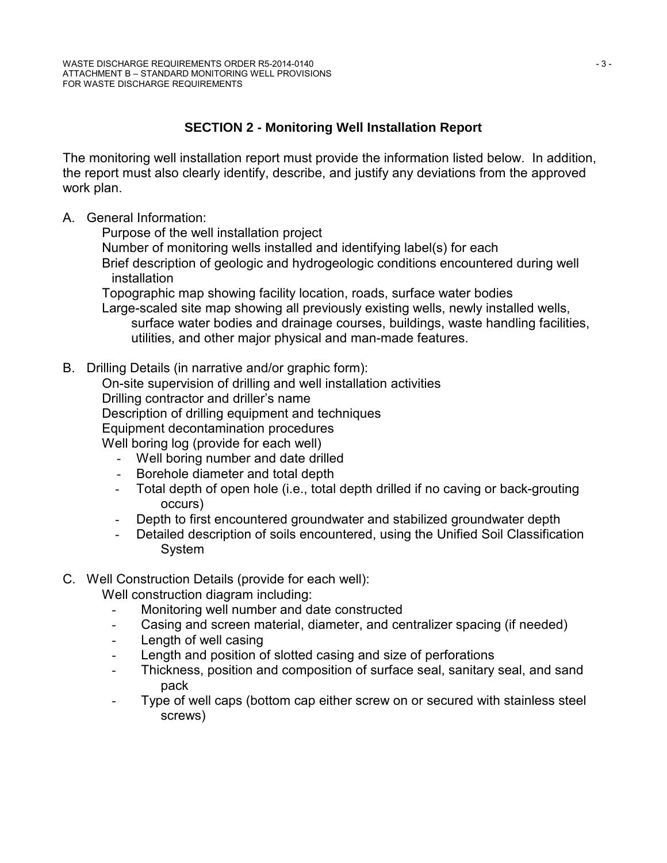# **SECTION 2 - Monitoring Well Installation Report**

The monitoring well installation report must provide the information listed below. In addition, the report must also clearly identify, describe, and justify any deviations from the approved work plan.

A. General Information:

Purpose of the well installation project

Number of monitoring wells installed and identifying label(s) for each

 Brief description of geologic and hydrogeologic conditions encountered during well installation

Topographic map showing facility location, roads, surface water bodies

 Large-scaled site map showing all previously existing wells, newly installed wells, surface water bodies and drainage courses, buildings, waste handling facilities, utilities, and other major physical and man-made features.

B. Drilling Details (in narrative and/or graphic form):

On-site supervision of drilling and well installation activities

Drilling contractor and driller's name

Description of drilling equipment and techniques

Equipment decontamination procedures

Well boring log (provide for each well)

- Well boring number and date drilled
- Borehole diameter and total depth
- Total depth of open hole (i.e., total depth drilled if no caving or back-grouting occurs)
- Depth to first encountered groundwater and stabilized groundwater depth
- Detailed description of soils encountered, using the Unified Soil Classification System
- C. Well Construction Details (provide for each well):

Well construction diagram including:

- Monitoring well number and date constructed
- Casing and screen material, diameter, and centralizer spacing (if needed)
- Length of well casing
- Length and position of slotted casing and size of perforations
- Thickness, position and composition of surface seal, sanitary seal, and sand pack
- Type of well caps (bottom cap either screw on or secured with stainless steel screws)